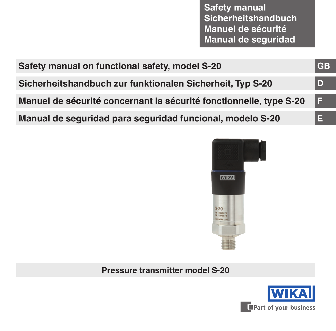| Safety manual on functional safety, model S-20                     | <b>GB</b> |
|--------------------------------------------------------------------|-----------|
| Sicherheitshandbuch zur funktionalen Sicherheit, Typ S-20          | D         |
| Manuel de sécurité concernant la sécurité fonctionnelle, type S-20 | E         |
| Manual de seguridad para seguridad funcional, modelo S-20          | E         |



**Pressure transmitter model S-20**

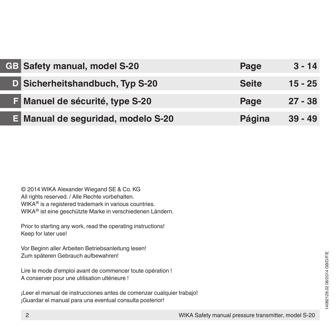| <b>GB</b> Safety manual, model S-20    | Page         | $3 - 14$  |
|----------------------------------------|--------------|-----------|
| <b>D</b> Sicherheitshandbuch, Typ S-20 | <b>Seite</b> | $15 - 25$ |
| E Manuel de sécurité, type S-20        | Page         | $27 - 38$ |
| E Manual de seguridad, modelo S-20     | Página       | $39 - 49$ |

© 2014 WIKA Alexander Wiegand SE & Co. KG All rights reserved. / Alle Rechte vorbehalten. WIKA® is a registered trademark in various countries. WIKA® ist eine geschützte Marke in verschiedenen Ländern.

Prior to starting any work, read the operating instructions! Keep for later use!

Vor Beginn aller Arbeiten Betriebsanleitung lesen! Zum späteren Gebrauch aufbewahren!

Lire le mode d'emploi avant de commencer toute opération ! A conserver pour une utilisation ultérieure !

¡Leer el manual de instrucciones antes de comenzar cualquier trabajo! ¡Guardar el manual para una eventual consulta posterior!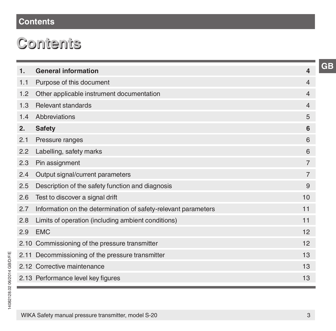# **Contents**

# **Contents**

| 1.  | <b>General information</b>                                     | 4              |
|-----|----------------------------------------------------------------|----------------|
| 1.1 | Purpose of this document                                       | 4              |
| 1.2 | Other applicable instrument documentation                      | 4              |
| 1.3 | Relevant standards                                             | $\overline{4}$ |
| 1.4 | Abbreviations                                                  | 5              |
| 2.  | <b>Safety</b>                                                  | 6              |
| 2.1 | Pressure ranges                                                | 6              |
| 2.2 | Labelling, safety marks                                        | 6              |
| 2.3 | Pin assignment                                                 | $\overline{7}$ |
| 2.4 | Output signal/current parameters                               | $\overline{7}$ |
| 2.5 | Description of the safety function and diagnosis               | 9              |
| 2.6 | Test to discover a signal drift                                | 10             |
| 2.7 | Information on the determination of safety-relevant parameters | 11             |
| 2.8 | Limits of operation (including ambient conditions)             | 11             |
| 2.9 | <b>EMC</b>                                                     | 12             |
|     | 2.10 Commissioning of the pressure transmitter                 | 12             |
|     | 2.11 Decommissioning of the pressure transmitter               | 13             |
|     | 2.12 Corrective maintenance                                    | 13             |
|     | 2.13 Performance level key figures                             | 13             |

**GB**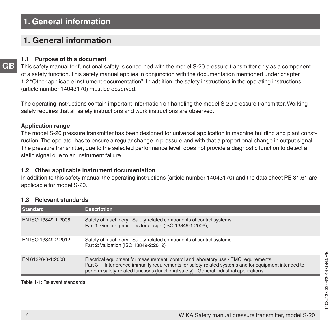### **1. General information**

### **1. General information**

#### **1.1 Purpose of this document**

This safety manual for functional safety is concerned with the model S-20 pressure transmitter only as a component of a safety function. This safety manual applies in conjunction with the documentation mentioned under chapter 1.2 "Other applicable instrument documentation". In addition, the safety instructions in the operating instructions (article number 14043170) must be observed.

The operating instructions contain important information on handling the model S-20 pressure transmitter. Working safely requires that all safety instructions and work instructions are observed.

#### **Application range**

**GB**

The model S-20 pressure transmitter has been designed for universal application in machine building and plant construction. The operator has to ensure a regular change in pressure and with that a proportional change in output signal. The pressure transmitter, due to the selected performance level, does not provide a diagnostic function to detect a static signal due to an instrument failure.

#### **1.2 Other applicable instrument documentation**

In addition to this safety manual the operating instructions (article number 14043170) and the data sheet PE 81.61 are applicable for model S-20.

#### **1.3 Relevant standards**

| <b>Standard</b>     | <b>Description</b>                                                                                                                                                                                                                                                                     |
|---------------------|----------------------------------------------------------------------------------------------------------------------------------------------------------------------------------------------------------------------------------------------------------------------------------------|
| EN ISO 13849-1:2008 | Safety of machinery - Safety-related components of control systems<br>Part 1: General principles for design (ISO 13849-1:2006);                                                                                                                                                        |
| EN ISO 13849-2:2012 | Safety of machinery - Safety-related components of control systems<br>Part 2: Validation (ISO 13849-2:2012)                                                                                                                                                                            |
| EN 61326-3-1:2008   | Electrical equipment for measurement, control and laboratory use - EMC requirements<br>Part 3-1: Interference immunity requirements for safety-related systems and for equipment intended to<br>perform safety-related functions (functional safety) - General industrial applications |

Table 1-1: Relevant standards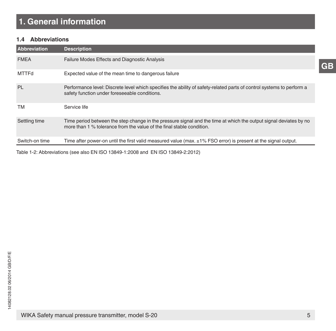## **1. General information**

#### **1.4 Abbreviations**

| <b>Abbreviation</b> | <b>Description</b>                                                                                                                                                                         |
|---------------------|--------------------------------------------------------------------------------------------------------------------------------------------------------------------------------------------|
| <b>FMEA</b>         | Failure Modes Effects and Diagnostic Analysis                                                                                                                                              |
| <b>MTTFd</b>        | Expected value of the mean time to dangerous failure                                                                                                                                       |
| <b>PL</b>           | Performance level: Discrete level which specifies the ability of safety-related parts of control systems to perform a<br>safety function under foreseeable conditions.                     |
| TM                  | Service life                                                                                                                                                                               |
| Settling time       | Time period between the step change in the pressure signal and the time at which the output signal deviates by no<br>more than 1 % tolerance from the value of the final stable condition. |
| Switch-on time      | Time after power-on until the first valid measured value ( $max. \pm 1\% FSO error) is present at the signal output.$                                                                      |

Table 1-2: Abbreviations (see also EN ISO 13849-1:2008 and EN ISO 13849-2:2012)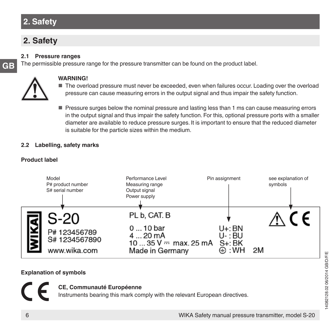### **2. Safety**

#### **2.1 Pressure ranges**

The permissible pressure range for the pressure transmitter can be found on the product label.



**GB**

#### **WARNING!**

- The overload pressure must never be exceeded, even when failures occur. Loading over the overload pressure can cause measuring errors in the output signal and thus impair the safety function.
- Pressure surges below the nominal pressure and lasting less than 1 ms can cause measuring errors in the output signal and thus impair the safety function. For this, optional pressure ports with a smaller diameter are available to reduce pressure surges. It is important to ensure that the reduced diameter is suitable for the particle sizes within the medium.

#### **2.2 Labelling, safety marks**

#### **Product label**



#### **Explanation of symbols**

#### **CE, Communauté Européenne**

Instruments bearing this mark comply with the relevant European directives.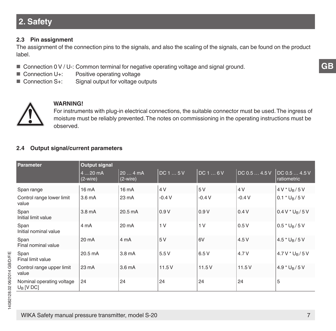#### **2.3 Pin assignment**

The assignment of the connection pins to the signals, and also the scaling of the signals, can be found on the product label.

- Connection 0 V / U-: Common terminal for negative operating voltage and signal ground.<br>■ Connection U+: Positive operating voltage
- Connection U+: Positive operating voltage<br>■ Connection S+: Signal output for voltage o
- Signal output for voltage outputs



#### **WARNING!**

For instruments with plug-in electrical connections, the suitable connector must be used. The ingress of moisture must be reliably prevented. The notes on commissioning in the operating instructions must be observed.

#### **2.4 Output signal/current parameters**

| Parameter                                 | <b>Output signal</b>               |                     |                |                |               |                              |  |
|-------------------------------------------|------------------------------------|---------------------|----------------|----------------|---------------|------------------------------|--|
|                                           | $\frac{4}{10}$ 20 mA<br>$(2-wire)$ | 204mA<br>$(2-wire)$ | DC15V          | DC 1  6 V      | DC 0.5  4.5 V | DC 0.5  4.5 V<br>ratiometric |  |
| Span range                                | 16 mA                              | 16 mA               | 4 V            | 5 V            | 4V            | $4V * U_B / 5V$              |  |
| Control range lower limit<br>value        | 3.6 mA                             | 23 mA               | $-0.4V$        | $-0.4V$        | $-0.4V$       | $0.1 * U_B / 5 V$            |  |
| Span<br>Initial limit value               | 3.8 mA                             | $20.5 \text{ mA}$   | 0.9V           | 0.9V           | 0.4V          | $0.4 V * UB/5 V$             |  |
| Span<br>Initial nominal value             | 4 mA                               | $20 \text{ mA}$     | 1 <sub>V</sub> | 1 <sub>V</sub> | 0.5V          | $0.5 * U_R / 5 V$            |  |
| Span<br>Final nominal value               | 20 mA                              | 4 mA                | 5 V            | 6V             | 4.5V          | $4.5 * U_R / 5 V$            |  |
| Span<br>Final limit value                 | 20.5 mA                            | 3.8 <sub>m</sub> A  | 5.5V           | 6.5V           | 4.7 V         | $4.7V$ * U <sub>B</sub> /5V  |  |
| Control range upper limit<br>value        | 23 mA                              | 3.6 mA              | 11.5V          | 11.5V          | 11.5V         | $4.9 * U_R / 5 V$            |  |
| Nominal operating voltage<br>$U_B$ [V DC] | 24                                 | 24                  | 24             | 24             | 24            | 5                            |  |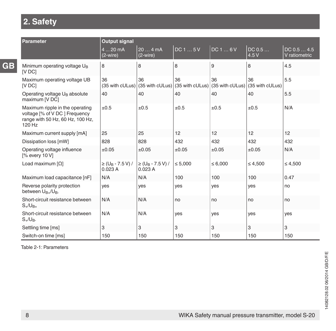|    | Parameter                                                                                                       | <b>Output signal</b>                        |                                                                 |              |                                       |                 |                              |
|----|-----------------------------------------------------------------------------------------------------------------|---------------------------------------------|-----------------------------------------------------------------|--------------|---------------------------------------|-----------------|------------------------------|
|    |                                                                                                                 | 4  20 mA<br>(2-wire)                        | 204mA<br>$(2-wire)$                                             | DC 1  5 V    | DC 1  6 V                             | DC 0.5<br>4.5 V | DC 0.5  4.5<br>V ratiometric |
| GB | Minimum operating voltage UB<br><b>IV DCI</b>                                                                   | 8                                           | 8                                                               | 8            | 9                                     | 8               | 4.5                          |
|    | Maximum operating voltage UB<br><b>IV DCI</b>                                                                   | 36                                          | 36<br>$(35 \text{ with cULus})$ (35 with cULus) (35 with cULus) | 36           | 36<br>(35 with cULus) (35 with cULus) | 36              | 5.5                          |
|    | Operating voltage U <sub>B</sub> absolute<br>maximum [V DC]                                                     | 40                                          | 40                                                              | 40           | 40                                    | 40              | 5.5                          |
|    | Maximum ripple in the operating<br>voltage [% of V DC ] Frequency<br>range with 50 Hz, 60 Hz, 100 Hz,<br>120 Hz | ±0.5                                        | ±0.5                                                            | ±0.5         | ±0.5                                  | ±0.5            | N/A                          |
|    | Maximum current supply [mA]                                                                                     | 25                                          | 25                                                              | 12           | 12                                    | 12              | 12                           |
|    | Dissipation loss [mW]                                                                                           | 828                                         | 828                                                             | 432          | 432                                   | 432             | 432                          |
|    | Operating voltage influence<br>[% every 10 V]                                                                   | ±0.05                                       | ±0.05                                                           | ±0.05        | ±0.05                                 | $\pm 0.05$      | N/A                          |
|    | Load maximum $[\Omega]$                                                                                         | $\geq$ (U <sub>R</sub> - 7.5 V) /<br>0.023A | $\geq$ (U <sub>R</sub> - 7.5 V) /<br>0.023A                     | $\leq 5.000$ | $\leq 6.000$                          | $\leq 4.500$    | $\leq 4.500$                 |
|    | Maximum load capacitance [nF]                                                                                   | N/A                                         | N/A                                                             | 100          | 100                                   | 100             | 0.47                         |
|    | Reverse polarity protection<br>between U <sub>B+</sub> /U <sub>B-</sub>                                         | yes                                         | yes                                                             | yes          | yes                                   | yes             | no                           |
|    | Short-circuit resistance between<br>$S_{\perp}/U_{R+}$                                                          | N/A                                         | N/A                                                             | no           | no                                    | no              | no                           |
|    | Short-circuit resistance between<br>$S_{+}/U_{B-}$                                                              | N/A                                         | N/A                                                             | yes          | yes                                   | yes             | yes                          |
|    | Settling time [ms]                                                                                              | 3                                           | 3                                                               | 3            | 3                                     | 3               | 3                            |
|    | Switch-on time [ms]                                                                                             | 150                                         | 150                                                             | 150          | 150                                   | 150             | 150                          |

Table 2-1: Parameters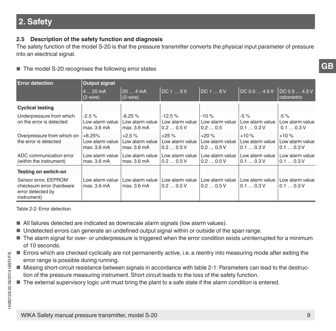#### **2.5 Description of the safety function and diagnosis**

The safety function of the model S-20 is that the pressure transmitter converts the physical input parameter of pressure into an electrical signal.

#### ■ The model S-20 recognises the following error states

| <b>Error detection</b>                                                               | <b>Output signal</b>                       |                                            |                                        |                                      |                                      |                                           |  |
|--------------------------------------------------------------------------------------|--------------------------------------------|--------------------------------------------|----------------------------------------|--------------------------------------|--------------------------------------|-------------------------------------------|--|
|                                                                                      | 420mA<br>(2-wire)                          | 204mA<br>$(2-wire)$                        | DC 1 5V                                | DC16V                                | DC 0.5  4.5 V                        | $\overline{DC}$ 0.5  4.5 V<br>ratiometric |  |
| <b>Cyclical testing</b>                                                              |                                            |                                            |                                        |                                      |                                      |                                           |  |
| Underpressure from which<br>on the error is detected                                 | $-2.5%$<br>Low alarm value<br>max. 3.6 mA  | $-6.25%$<br>Low alarm value<br>max. 3.6 mA | $-12.5%$<br>Low alarm value<br>0.20.5V | $-10%$<br>Low alarm value<br>0.20.5  | $-5%$<br>Low alarm value<br>0.10.3V  | $-5%$<br>Low alarm value<br>0.10.3V       |  |
| Overpressure from which on<br>the error is detected                                  | $+6.25%$<br>Low alarm value<br>max. 3.6 mA | $+2.5%$<br>Low alarm value<br>max, 3.6 mA  | $+25%$<br>Low alarm value<br>0.20.5V   | $+20%$<br>Low alarm value<br>0.20.5V | $+10%$<br>Low alarm value<br>0.10.3V | $+10%$<br>Low alarm value<br>0.10.3V      |  |
| ADC communication error<br>(within the instrument)                                   | Low alarm value<br>max. 3.6 mA             | Low alarm value<br>max. 3.6 mA             | Low alarm value<br>0.20.5V             | Low alarm value<br>0.20.5V           | Low alarm value<br>0.10.3V           | Low alarm value<br>0.10.3V                |  |
| Testing on switch-on                                                                 |                                            |                                            |                                        |                                      |                                      |                                           |  |
| Sensor error, EEPROM<br>checksum error (hardware<br>error detected by<br>instrument) | Low alarm value<br>max. 3.6 mA             | Low alarm value<br>max. 3.6 mA             | Low alarm value<br>0.20.5V             | Low alarm value<br>0.20.5V           | Low alarm value<br>0.10.3V           | Low alarm value<br>0.10.3V                |  |

Table 2-2: Error detection

- All failures detected are indicated as downscale alarm signals (low alarm values).
- Undetected errors can generate an undefined output signal within or outside of the span range.
- The alarm signal for over- or underpressure is triggered when the error condition exists uninterrupted for a minimum of 10 seconds.
- Errors which are checked cyclically are not permanently active, i.e. a reentry into measuring mode after exiting the error range is possible during running.
- Missing short-circuit resistance between signals in accordance with table 2-1: Parameters can lead to the destruction of the pressure measuring instrument. Short circuit leads to the loss of the safety function.
- The external supervisory logic unit must bring the plant to a safe state if the alarm condition is entered.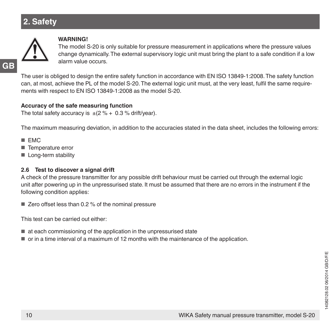

**GB**

#### **WARNING!**

The model S-20 is only suitable for pressure measurement in applications where the pressure values change dynamically. The external supervisory logic unit must bring the plant to a safe condition if a low alarm value occurs.

The user is obliged to design the entire safety function in accordance with EN ISO 13849-1:2008. The safety function can, at most, achieve the PL of the model S-20. The external logic unit must, at the very least, fulfil the same requirements with respect to EN ISO 13849-1:2008 as the model S-20.

#### **Accuracy of the safe measuring function**

The total safety accuracy is  $\pm$ (2 % + 0.3 % drift/year).

The maximum measuring deviation, in addition to the accuracies stated in the data sheet, includes the following errors:

- EMC
- Temperature error
- Long-term stability

#### **2.6 Test to discover a signal drift**

A check of the pressure transmitter for any possible drift behaviour must be carried out through the external logic unit after powering up in the unpressurised state. It must be assumed that there are no errors in the instrument if the following condition applies:

■ Zero offset less than 0.2 % of the nominal pressure

This test can be carried out either:

- at each commissioning of the application in the unpressurised state
- or in a time interval of a maximum of 12 months with the maintenance of the application.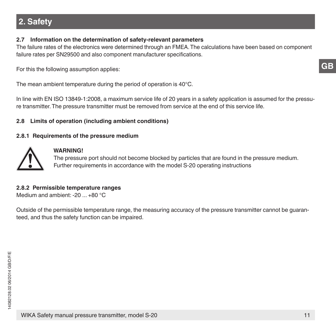#### **2.7 Information on the determination of safety-relevant parameters**

The failure rates of the electronics were determined through an FMEA. The calculations have been based on component failure rates per SN29500 and also component manufacturer specifications.

For this the following assumption applies:

The mean ambient temperature during the period of operation is 40°C.

In line with EN ISO 13849-1:2008, a maximum service life of 20 years in a safety application is assumed for the pressure transmitter. The pressure transmitter must be removed from service at the end of this service life.

#### **2.8 Limits of operation (including ambient conditions)**

#### **2.8.1 Requirements of the pressure medium**



#### **WARNING!**

The pressure port should not become blocked by particles that are found in the pressure medium. Further requirements in accordance with the model S-20 operating instructions

#### **2.8.2 Permissible temperature ranges**

Medium and ambient: -20 ... +80 °C

Outside of the permissible temperature range, the measuring accuracy of the pressure transmitter cannot be guaranteed, and thus the safety function can be impaired.

**GB**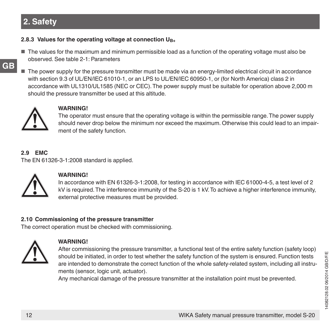#### **2.8.3 Values for the operating voltage at connection UB+**

- The values for the maximum and minimum permissible load as a function of the operating voltage must also be observed. See table 2-1: Parameters
- The power supply for the pressure transmitter must be made via an energy-limited electrical circuit in accordance with section 9.3 of UL/EN/IEC 61010-1, or an LPS to UL/EN/IEC 60950-1, or (for North America) class 2 in accordance with UL1310/UL1585 (NEC or CEC). The power supply must be suitable for operation above 2,000 m should the pressure transmitter be used at this altitude.



#### **WARNING!**

The operator must ensure that the operating voltage is within the permissible range. The power supply should never drop below the minimum nor exceed the maximum. Otherwise this could lead to an impairment of the safety function.

#### **2.9 EMC**

The EN 61326-3-1:2008 standard is applied.



#### **WARNING!**

In accordance with EN 61326-3-1:2008, for testing in accordance with IEC 61000-4-5, a test level of 2 kV is required. The interference immunity of the S-20 is 1 kV. To achieve a higher interference immunity, external protective measures must be provided.

#### **2.10 Commissioning of the pressure transmitter**

The correct operation must be checked with commissioning.



#### **WARNING!**

After commissioning the pressure transmitter, a functional test of the entire safety function (safety loop) should be initiated, in order to test whether the safety function of the system is ensured. Function tests are intended to demonstrate the correct function of the whole safety-related system, including all instruments (sensor, logic unit, actuator).

Any mechanical damage of the pressure transmitter at the installation point must be prevented.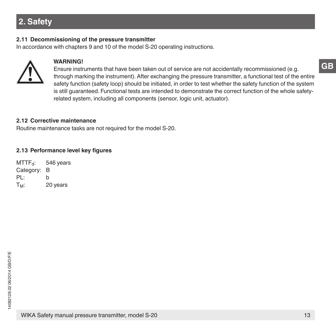#### **2.11 Decommissioning of the pressure transmitter**

In accordance with chapters 9 and 10 of the model S-20 operating instructions.



#### **WARNING!**

Ensure instruments that have been taken out of service are not accidentally recommissioned (e.g. through marking the instrument). After exchanging the pressure transmitter, a functional test of the entire safety function (safety loop) should be initiated, in order to test whether the safety function of the system is still guaranteed. Functional tests are intended to demonstrate the correct function of the whole safetyrelated system, including all components (sensor, logic unit, actuator).

#### **2.12 Corrective maintenance**

Routine maintenance tasks are not required for the model S-20.

#### **2.13 Performance level key figures**

 $MTTF_d: 546$  years Category: B  $PI: h$ T<sub>M</sub>: 20 years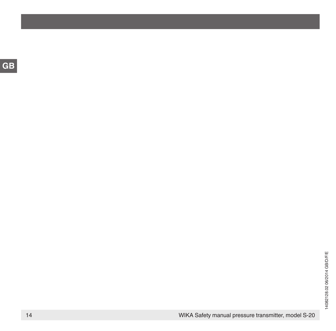**GB**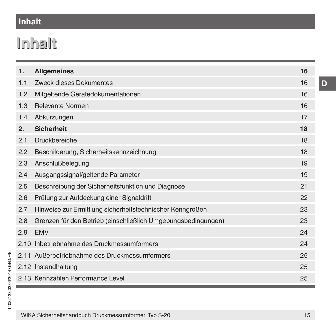# **Inhalt**

# **Inhalt**

| 1.  | <b>Allgemeines</b>                                            | 16 |
|-----|---------------------------------------------------------------|----|
| 1.1 | Zweck dieses Dokumentes                                       | 16 |
| 1.2 | Mitgeltende Gerätedokumentationen                             | 16 |
| 1.3 | <b>Relevante Normen</b>                                       | 16 |
| 1.4 | Abkürzungen                                                   | 17 |
| 2.  | <b>Sicherheit</b>                                             | 18 |
| 2.1 | Druckbereiche                                                 | 18 |
| 2.2 | Beschilderung, Sicherheitskennzeichnung                       | 18 |
| 2.3 | Anschlußbelegung                                              | 19 |
| 2.4 | Ausgangssignal/geltende Parameter                             | 19 |
| 2.5 | Beschreibung der Sicherheitsfunktion und Diagnose             | 21 |
| 2.6 | Prüfung zur Aufdeckung einer Signaldrift                      | 22 |
| 2.7 | Hinweise zur Ermittlung sicherheitstechnischer Kenngrößen     | 23 |
| 2.8 | Grenzen für den Betrieb (einschließlich Umgebungsbedingungen) | 23 |
| 2.9 | <b>EMV</b>                                                    | 24 |
|     | 2.10 Inbetriebnahme des Druckmessumformers                    | 24 |
|     | 2.11 Außerbetriebnahme des Druckmessumformers                 | 25 |
|     | 2.12 Instandhaltung                                           | 25 |
|     | 2.13 Kennzahlen Performance Level                             | 25 |
|     |                                                               |    |

**D**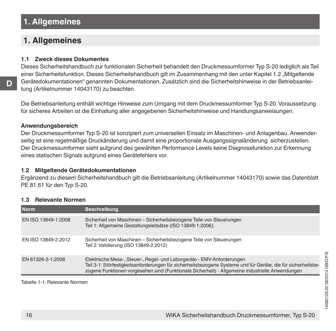### **1. Allgemeines**

### **1. Allgemeines**

#### **1.1 Zweck dieses Dokumentes**

Dieses Sicherheitshandbuch zur funktionalen Sicherheit behandelt den Druckmessumformer Typ S-20 lediglich als Teil einer Sicherheitsfunktion. Dieses Sicherheitshandbuch gilt im Zusammenhang mit den unter Kapitel 1.2 "Mitgeltende Gerätedokumentationen" genannten Dokumentationen. Zusätzlich sind die Sicherheitshinweise in der Betriebsanleitung (Artikelnummer 14043170) zu beachten.

Die Betriebsanleitung enthält wichtige Hinweise zum Umgang mit dem Druckmessumformer Typ S-20. Voraussetzung für sicheres Arbeiten ist die Einhaltung aller angegebenen Sicherheitshinweise und Handlungsanweisungen.

#### **Anwendungsbereich**

Der Druckmessumformer Typ S-20 ist konzipiert zum universellen Einsatz im Maschinen- und Anlagenbau. Anwenderseitig ist eine regelmäßige Druckänderung und damit eine proportionale Ausgangssignaländerung sicherzustellen. Der Druckmessumformer sieht aufgrund des gewählten Performance Levels keine Diagnosefunktion zur Erkennung eines statischen Signals aufgrund eines Gerätefehlers vor.

#### **1.2 Mitgeltende Gerätedokumentationen**

Ergänzend zu diesem Sicherheitshandbuch gilt die Betriebsanleitung (Artikelnummer 14043170) sowie das Datenblatt PE 81.61 für den Typ S-20.

#### **1.3 Relevante Normen**

| <b>Norm</b>         | <b>Beschreibung</b>                                                                                                                                                                                                                                                                         |
|---------------------|---------------------------------------------------------------------------------------------------------------------------------------------------------------------------------------------------------------------------------------------------------------------------------------------|
| EN ISO 13849-1:2008 | Sicherheit von Maschinen – Sicherheitsbezogene Teile von Steuerungen<br>Teil 1: Allgemeine Gestaltungsleitsätze (ISO 13849-1:2006);                                                                                                                                                         |
| EN ISO 13849-2:2012 | Sicherheit von Maschinen – Sicherheitsbezogene Teile von Steuerungen<br>Teil 2: Validierung (ISO 13849-2:2012)                                                                                                                                                                              |
| EN 61326-3-1:2008   | Elektrische Mess-, Steuer-, Regel- und Laborgeräte - EMV-Anforderungen<br>Teil 3-1: Störfestigkeitsanforderungen für sicherheitsbezogene Systeme und für Geräte, die für sicherheitsbe-<br>zogene Funktionen vorgesehen sind (Funktionale Sicherheit) - Allgemeine industrielle Anwendungen |

Tabelle 1-1: Relevante Normen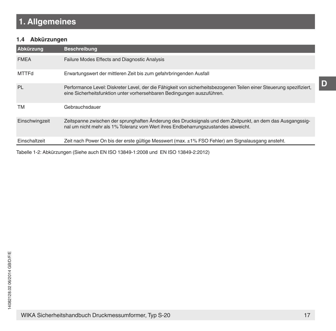# **1. Allgemeines**

#### **1.4 Abkürzungen**

| Abkürzung      | <b>Beschreibung</b>                                                                                                                                                                            |
|----------------|------------------------------------------------------------------------------------------------------------------------------------------------------------------------------------------------|
| <b>FMEA</b>    | Failure Modes Effects and Diagnostic Analysis                                                                                                                                                  |
| <b>MTTFd</b>   | Erwartungswert der mittleren Zeit bis zum gefahrbringenden Ausfall                                                                                                                             |
| PL             | Performance Level: Diskreter Level, der die Fähigkeit von sicherheitsbezogenen Teilen einer Steuerung spezifiziert,<br>eine Sicherheitsfunktion unter vorhersehbaren Bedingungen auszuführen.  |
| TM             | Gebrauchsdauer                                                                                                                                                                                 |
| Einschwingzeit | Zeitspanne zwischen der sprunghaften Änderung des Drucksignals und dem Zeitpunkt, an dem das Ausgangssig-<br>nal um nicht mehr als 1% Toleranz vom Wert ihres Endbeharrungszustandes abweicht. |
| Einschaltzeit  | Zeit nach Power On bis der erste gültige Messwert (max. ±1% FSO Fehler) am Signalausgang ansteht.                                                                                              |

Tabelle 1-2: Abkürzungen (Siehe auch EN ISO 13849-1:2008 und EN ISO 13849-2:2012)

**D**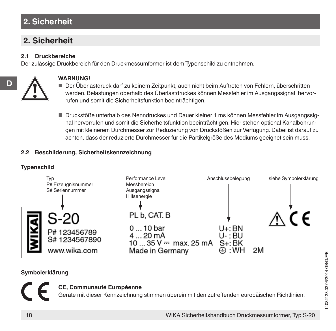### **2. Sicherheit**

#### **2.1 Druckbereiche**

Der zulässige Druckbereich für den Druckmessumformer ist dem Typenschild zu entnehmen.



**D**

#### **WARNUNG!**

- Der Überlastdruck darf zu keinem Zeitpunkt, auch nicht beim Auftreten von Fehlern, überschritten werden. Belastungen oberhalb des Überlastdruckes können Messfehler im Ausgangssignal hervorrufen und somit die Sicherheitsfunktion beeinträchtigen.
- Druckstöße unterhalb des Nenndruckes und Dauer kleiner 1 ms können Messfehler im Ausgangssignal hervorrufen und somit die Sicherheitsfunktion beeinträchtigen. Hier stehen optional Kanalbohrungen mit kleinerem Durchmesser zur Reduzierung von Druckstößen zur Verfügung. Dabei ist darauf zu achten, dass der reduzierte Durchmesser für die Partikelgröße des Mediums geeignet sein muss.

#### **2.2 Beschilderung, Sicherheitskennzeichnung**

#### **Typenschild**



#### **Symbolerklärung**

#### **CE, Communauté Européenne**

Geräte mit dieser Kennzeichnung stimmen überein mit den zutreffenden europäischen Richtlinien.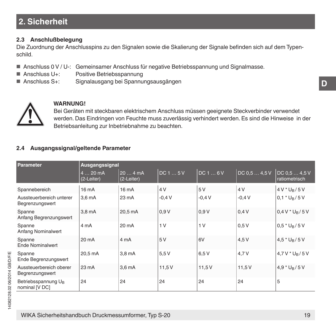#### **2.3 Anschlußbelegung**

Die Zuordnung der Anschlusspins zu den Signalen sowie die Skalierung der Signale befinden sich auf dem Typenschild.

- Anschluss 0 V / U-: Gemeinsamer Anschluss für negative Betriebsspannung und Signalmasse.<br>■ Anschluss U+: Positive Betriebsspannung
- Anschluss U+: Positive Betriebsspannung<br>■ Anschluss S+: Signalausgang bei Spannu
- Signalausgang bei Spannungsausgängen



#### **WARNUNG!**

Bei Geräten mit steckbaren elektrischem Anschluss müssen geeignete Steckverbinder verwendet werden. Das Eindringen von Feuchte muss zuverlässig verhindert werden. Es sind die Hinweise in der Betriebsanleitung zur Inbetriebnahme zu beachten.

#### **2.4 Ausgangssignal/geltende Parameter**

| Parameter                                   | Ausgangssignal                           |                          |                |                |               |                                |
|---------------------------------------------|------------------------------------------|--------------------------|----------------|----------------|---------------|--------------------------------|
|                                             | $\overline{4 \dots 20}$ mA<br>(2-Leiter) | l 20  4 mA<br>(2-Leiter) | DC 1 5V        | DC 1  6V       | DC 0.5  4.5 V | DC 0.5  4.5 V<br>ratiometrisch |
| Spannebereich                               | 16 mA                                    | 16 mA                    | 4V             | 5V             | 4V            | $4V * U_B / 5V$                |
| Aussteuerbereich unterer<br>Begrenzungswert | 3.6 mA                                   | 23 mA                    | $-0.4V$        | $-0.4V$        | $-0.4V$       | $0.1 * U_R / 5V$               |
| Spanne<br>Anfang Begrenzungswert            | 3.8 mA                                   | 20.5 mA                  | 0,9V           | 0.9V           | 0.4V          | $0.4 V * UB/5 V$               |
| Spanne<br>Anfang Nominalwert                | 4 mA                                     | $20 \text{ mA}$          | 1 <sub>V</sub> | 1 <sub>V</sub> | 0.5V          | $0.5 * U_R / 5V$               |
| Spanne<br>Ende Nominalwert                  | $20 \text{ mA}$                          | 4 mA                     | 5V             | 6V             | 4.5 V         | $4.5 * U_R / 5 V$              |
| Spanne<br>Ende Begrenzungswert              | 20,5 mA                                  | 3.8 mA                   | 5,5V           | 6.5V           | 4.7 V         | $4.7V$ * U <sub>B</sub> /5V    |
| Aussteuerbereich oberer<br>Begrenzungswert  | $23 \text{ mA}$                          | 3.6 mA                   | 11,5V          | 11,5V          | 11.5V         | $4.9 * U_R / 5 V$              |
| Betriebsspannung UR<br>nominal [V DC]       | 24                                       | 24                       | 24             | 24             | 24            | 5                              |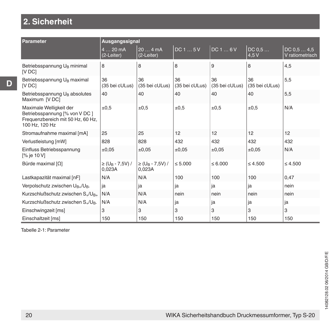| Parameter                                                                                                       | Ausgangssignal                             |                                            |                      |                      |                      |                                |  |  |
|-----------------------------------------------------------------------------------------------------------------|--------------------------------------------|--------------------------------------------|----------------------|----------------------|----------------------|--------------------------------|--|--|
|                                                                                                                 | 4  20 mA<br>(2-Leiter)                     | 204mA<br>(2-Leiter)                        | DC 1  5 V            | DC 1  6 V            | DC 0.5<br>4.5V       | DC 0.5  4.5<br>V ratiometrisch |  |  |
| Betriebsspannung U <sub>B</sub> minimal<br><b>IV DCI</b>                                                        | 8                                          | 8                                          | 8                    | 9                    | 8                    | 4,5                            |  |  |
| Betriebsspannung U <sub>B</sub> maximal<br><b>IV DCI</b>                                                        | 36<br>(35 bei cULus)                       | 36<br>(35 bei cULus)                       | 36<br>(35 bei cULus) | 36<br>(35 bei cULus) | 36<br>(35 bei cULus) | 5.5                            |  |  |
| Betriebsspannung U <sub>B</sub> absolutes<br>Maximum [V DC]                                                     | 40                                         | 40                                         | 40                   | 40                   | 40                   | 5.5                            |  |  |
| Maximale Welligkeit der<br>Betriebsspannung [% von V DC]<br>Frequenzbereich mit 50 Hz, 60 Hz,<br>100 Hz. 120 Hz | ±0.5                                       | ±0.5                                       | $\pm 0.5$            | ±0,5                 | $\pm 0.5$            | N/A                            |  |  |
| Stromaufnahme maximal [mA]                                                                                      | 25                                         | 25                                         | 12                   | 12                   | 12                   | 12                             |  |  |
| Verlustleistung [mW]                                                                                            | 828                                        | 828                                        | 432                  | 432                  | 432                  | 432                            |  |  |
| Einfluss Betriebsspannung<br>[% je 10 V]                                                                        | ±0.05                                      | ±0.05                                      | ±0,05                | $\pm 0.05$           | $\pm 0.05$           | N/A                            |  |  |
| Bürde maximal $[\Omega]$                                                                                        | $\geq$ (U <sub>R</sub> - 7.5V) /<br>0.023A | $\geq$ (U <sub>R</sub> - 7.5V) /<br>0,023A | $\leq 5.000$         | $\leq 6.000$         | $\leq 4.500$         | $\leq 4.500$                   |  |  |
| Lastkapazität maximal [nF]                                                                                      | N/A                                        | N/A                                        | 100                  | 100                  | 100                  | 0.47                           |  |  |
| Verpolschutz zwischen UB+/UB-                                                                                   | ja                                         | ja                                         | ja                   | ja                   | ja                   | nein                           |  |  |
| Kurzschlußschutz zwischen S./UB+                                                                                | N/A                                        | N/A                                        | nein                 | nein                 | nein                 | nein                           |  |  |
| Kurzschlußschutz zwischen S./UB-                                                                                | N/A                                        | N/A                                        | ja                   | ja                   | ja                   | ∣ja                            |  |  |
| Einschwingzeit [ms]                                                                                             | 3                                          | 3                                          | 3                    | 3                    | 3                    | 3                              |  |  |
| Einschaltzeit [ms]                                                                                              | 150                                        | 150                                        | 150                  | 150                  | 150                  | 150                            |  |  |

Tabelle 2-1: Parameter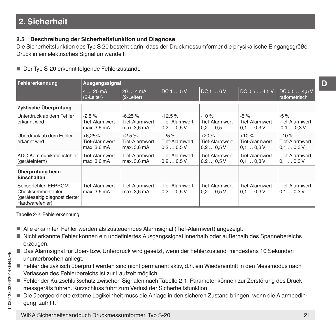#### **2.5 Beschreibung der Sicherheitsfunktion und Diagnose**

Die Sicherheitsfunktion des Typ S 20 besteht darin, dass der Druckmessumformer die physikalische Eingangsgröße Druck in ein elektrisches Signal umwandelt.

#### ■ Der Tvp S-20 erkennt folgende Fehlerzustände

| Fehlererkennung                                                                                 | Ausgangssignal                                  |                                                  |                                            |                                            |                                             |                                              |
|-------------------------------------------------------------------------------------------------|-------------------------------------------------|--------------------------------------------------|--------------------------------------------|--------------------------------------------|---------------------------------------------|----------------------------------------------|
|                                                                                                 | 420mA<br>(2-Leiter)                             | 120  4 mA<br>(2-Leiter)                          | DC 1 5V                                    | DC 16V                                     | DC 0.5  4.5 V                               | $\overline{DC}$ 0.5  4.5 V<br>ratiometrisch  |
| Zyklische Überprüfung                                                                           |                                                 |                                                  |                                            |                                            |                                             |                                              |
| Unterdruck ab dem Fehler<br>erkannt wird                                                        | $-2.5%$<br><b>Tief-Alarmwert</b><br>max. 3,6 mA | $-6.25%$<br><b>Tief-Alarmwert</b><br>max. 3,6 mA | $-12.5%$<br>Tief-Alarmwert<br>0.20.5V      | $-10%$<br><b>Tief-Alarmwert</b><br>0,20,5  | $-5%$<br><b>Tief-Alarmwert</b><br>0, 10, 3V | $-5%$<br><b>Tief-Alarmwert</b><br>0,10,3V    |
| Überdruck ab dem Fehler<br>erkannt wird                                                         | $+6.25%$<br>Tief-Alarmwert<br>max. 3,6 mA       | $+2.5%$<br><b>Tief-Alarmwert</b><br>max. 3,6 mA  | $+25%$<br><b>Tief-Alarmwert</b><br>0.20.5V | $+20%$<br><b>Tief-Alarmwert</b><br>0.20.5V | $+10%$<br><b>Tief-Alarmwert</b><br>0,10,3V  | $+10%$<br><b>Tief-Alarmwert</b><br>0, 10, 3V |
| ADC-Kommunikationsfehler<br>(geräteintern)                                                      | Tief-Alarmwert<br>max. 3.6 mA                   | Tief-Alarmwert<br>max. 3.6 mA                    | <b>Tief-Alarmwert</b><br>0.20.5V           | <b>Tief-Alarmwert</b><br>0.20.5V           | <b>Tief-Alarmwert</b><br>0,10,3V            | <b>Tief-Alarmwert</b><br>0, 10, 3V           |
| Überprüfung beim<br>Einschalten                                                                 |                                                 |                                                  |                                            |                                            |                                             |                                              |
| Sensorfehler, EEPROM-<br>Checksummenfehler<br>(geräteseitig diagnostizierter<br>Hardwarefehler) | <b>Tief-Alarmwert</b><br>max. 3,6 mA            | <b>Tief-Alarmwert</b><br>max. 3,6 mA             | <b>Tief-Alarmwert</b><br>0.20.5V           | <b>Tief-Alarmwert</b><br>0.20.5V           | <b>Tief-Alarmwert</b><br>0, 1 0, 3V         | Tief-Alarmwert<br>0, 10, 3V                  |

Tabelle 2-2: Fehlererkennung

- Alle erkannten Fehler werden als zusteuerndes Alarmsignal (Tief-Alarmwert) angezeigt.
- Nicht erkannte Fehler können ein undefiniertes Ausgangssignal innerhalb oder außerhalb des Spannebereichs erzeugen.
- Das Alarmsignal für Über- bzw. Unterdruck wird gesetzt, wenn der Fehlerzustand mindestens 10 Sekunden ununterbrochen anliegt.
- Fehler die zyklisch überprüft werden sind nicht permanent aktiv, d.h. ein Wiedereintritt in den Messmodus nach Verlassen des Fehlerbereichs ist zur Laufzeit möglich.
- Fehlender Kurzschlußschutz zwischen Signalen nach Tabelle 2-1: Parameter können zur Zerstörung des Druckmessgeräts führen. Kurzschluss führt zum Verlust der Sicherheitsfunktion.
- Die übergeordnete externe Logikeinheit muss die Anlage in den sicheren Zustand bringen, wenn die Alarmbedingung zutrifft.

**D**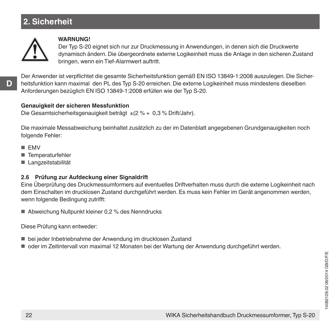

#### **WARNUNG!**

Der Typ S-20 eignet sich nur zur Druckmessung in Anwendungen, in denen sich die Druckwerte dynamisch ändern. Die übergeordnete externe Logikeinheit muss die Anlage in den sicheren Zustand bringen, wenn ein Tief-Alarmwert auftritt.

Der Anwender ist verpflichtet die gesamte Sicherheitsfunktion gemäß EN ISO 13849-1:2008 auszulegen. Die Sicherheitsfunktion kann maximal den PL des Typ S-20 erreichen. Die externe Logikeinheit muss mindestens dieselben Anforderungen bezüglich EN ISO 13849-1:2008 erfüllen wie der Typ S-20.

#### **Genauigkeit der sicheren Messfunktion**

Die Gesamtsicherheitsgenauigkeit beträgt ±(2 % + 0,3 % Drift/Jahr).

Die maximale Messabweichung beinhaltet zusätzlich zu der im Datenblatt angegebenen Grundgenauigkeiten noch folgende Fehler:

- EMV
- Temperaturfehler
- Langzeitstabilität

#### **2.6 Prüfung zur Aufdeckung einer Signaldrift**

Eine Überprüfung des Druckmessumformers auf eventuelles Driftverhalten muss durch die externe Logikeinheit nach dem Einschalten im drucklosen Zustand durchgeführt werden. Es muss kein Fehler im Gerät angenommen werden, wenn folgende Bedingung zutrifft:

■ Abweichung Nullpunkt kleiner 0.2 % des Nenndrucks

Diese Prüfung kann entweder:

- bei jeder Inbetriebnahme der Anwendung im drucklosen Zustand
- oder im Zeitintervall von maximal 12 Monaten bei der Wartung der Anwendung durchgeführt werden.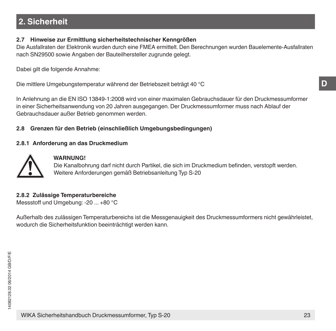#### **2.7 Hinweise zur Ermittlung sicherheitstechnischer Kenngrößen**

Die Ausfallraten der Elektronik wurden durch eine FMEA ermittelt. Den Berechnungen wurden Bauelemente-Ausfallraten nach SN29500 sowie Angaben der Bauteilhersteller zugrunde gelegt.

Dabei gilt die folgende Annahme:

Die mittlere Umgebungstemperatur während der Betriebszeit beträgt 40 °C

In Anlehnung an die EN ISO 13849-1:2008 wird von einer maximalen Gebrauchsdauer für den Druckmessumformer in einer Sicherheitsanwendung von 20 Jahren ausgegangen. Der Druckmessumformer muss nach Ablauf der Gebrauchsdauer außer Betrieb genommen werden.

#### **2.8 Grenzen für den Betrieb (einschließlich Umgebungsbedingungen)**

#### **2.8.1 Anforderung an das Druckmedium**



#### **WARNUNG!**

Die Kanalbohrung darf nicht durch Partikel, die sich im Druckmedium befinden, verstopft werden. Weitere Anforderungen gemäß Betriebsanleitung Typ S-20

#### **2.8.2 Zulässige Temperaturbereiche**

Messstoff und Umgebung: -20 ... +80 °C

Außerhalb des zulässigen Temperaturbereichs ist die Messgenauigkeit des Druckmessumformers nicht gewährleistet, wodurch die Sicherheitsfunktion beeinträchtigt werden kann.

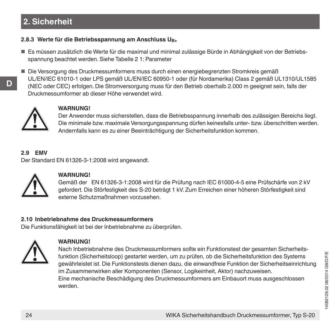#### **2.8.3 Werte für die Betriebsspannung am Anschluss UB+**

- Es müssen zusätzlich die Werte für die maximal und minimal zulässige Bürde in Abhängigkeit von der Betriebsspannung beachtet werden. Siehe Tabelle 2 1: Parameter
- Die Versorgung des Druckmessumformers muss durch einen energiebegrenzten Stromkreis gemäß UL/EN/IEC 61010-1 oder LPS gemäß UL/EN/IEC 60950-1 oder (für Nordamerika) Class 2 gemäß UL1310/UL1585 (NEC oder CEC) erfolgen. Die Stromversorgung muss für den Betrieb oberhalb 2.000 m geeignet sein, falls der Druckmessumformer ab dieser Höhe verwendet wird.



#### **WARNUNG!**

Der Anwender muss sicherstellen, dass die Betriebsspannung innerhalb des zulässigen Bereichs liegt. Die minimale bzw. maximale Versorgungsspannung dürfen keinesfalls unter- bzw. überschritten werden. Andernfalls kann es zu einer Beeinträchtigung der Sicherheitsfunktion kommen.

#### **2.9 EMV**

Der Standard EN 61326-3-1:2008 wird angewandt.



#### **WARNUNG!**

Gemäß der EN 61326-3-1:2008 wird für die Prüfung nach IEC 61000-4-5 eine Prüfschärfe von 2 kV gefordert. Die Störfestigkeit des S-20 beträgt 1 kV. Zum Erreichen einer höheren Störfestigkeit sind externe Schutzmaßnahmen vorzusehen.

#### **2.10 Inbetriebnahme des Druckmessumformers**

Die Funktionsfähigkeit ist bei der Inbetriebnahme zu überprüfen.



#### **WARNUNG!**

Nach Inbetriebnahme des Druckmessumformers sollte ein Funktionstest der gesamten Sicherheitsfunktion (Sicherheitsloop) gestartet werden, um zu prüfen, ob die Sicherheitsfunktion des Systems gewährleistet ist. Die Funktionstests dienen dazu, die einwandfreie Funktion der Sicherheitseinrichtung im Zusammenwirken aller Komponenten (Sensor, Logikeinheit, Aktor) nachzuweisen. Eine mechanische Beschädigung des Druckmessumformers am Einbauort muss ausgeschlossen werden.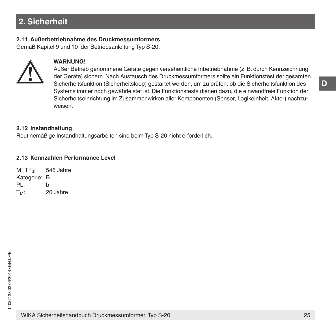#### **2.11 Außerbetriebnahme des Druckmessumformers**

Gemäß Kapitel 9 und 10 der Betriebsanleitung Typ S-20.



#### **WARNUNG!**

Außer Betrieb genommene Geräte gegen versehentliche Inbetriebnahme (z. B. durch Kennzeichnung der Geräte) sichern. Nach Austausch des Druckmessumformers sollte ein Funktionstest der gesamten Sicherheitsfunktion (Sicherheitsloop) gestartet werden, um zu prüfen, ob die Sicherheitsfunktion des Systems immer noch gewährleistet ist. Die Funktionstests dienen dazu, die einwandfreie Funktion der Sicherheitseinrichtung im Zusammenwirken aller Komponenten (Sensor, Logikeinheit, Aktor) nachzuweisen.

#### **2.12 Instandhaltung**

Routinemäßige Instandhaltungsarbeiten sind beim Typ S-20 nicht erforderlich.

#### **2.13 Kennzahlen Performance Level**

MTTF<sub>d</sub>: 546 Jahre Kategorie: B PL:  $b$ <br>T<sub>M</sub>:  $20$ 20 Jahre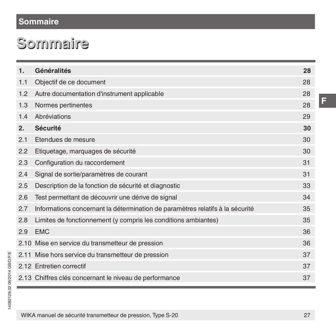# **Sommaire**

# **Sommaire**

| 1.  | Généralités                                                                   | 28 |
|-----|-------------------------------------------------------------------------------|----|
| 1.1 | Objectif de ce document                                                       | 28 |
| 1.2 | Autre documentation d'instrument applicable                                   | 28 |
| 1.3 | Normes pertinentes                                                            | 28 |
| 1.4 | Abréviations                                                                  | 29 |
| 2.  | Sécurité                                                                      | 30 |
| 2.1 | Etendues de mesure                                                            | 30 |
| 2.2 | Etiquetage, marquages de sécurité                                             | 30 |
| 2.3 | Configuration du raccordement                                                 | 31 |
| 2.4 | Signal de sortie/paramètres de courant                                        | 31 |
| 2.5 | Description de la fonction de sécurité et diagnostic                          | 33 |
| 2.6 | Test permettant de découvrir une dérive de signal                             | 34 |
| 2.7 | Informations concernant la détermination de paramètres relatifs à la sécurité | 35 |
| 2.8 | Limites de fonctionnement (y compris les conditions ambiantes)                | 35 |
| 2.9 | <b>EMC</b>                                                                    | 36 |
|     | 2.10 Mise en service du transmetteur de pression                              | 36 |
|     | 2.11 Mise hors service du transmetteur de pression                            | 37 |
|     | 2.12 Entretien correctif                                                      | 37 |
|     | 2.13 Chiffres clés concernant le niveau de performance                        | 37 |
|     |                                                                               |    |

**F**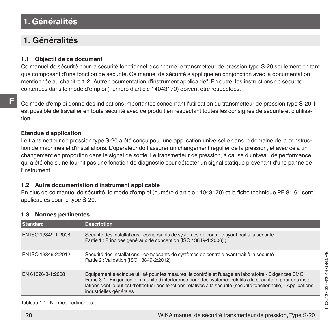### **1. Généralités**

### **1. Généralités**

#### **1.1 Objectif de ce document**

Ce manuel de sécurité pour la sécurité fonctionnelle concerne le transmetteur de pression type S-20 seulement en tant que composant d'une fonction de sécurité. Ce manuel de sécurité s'applique en conjonction avec la documentation mentionnée au chapitre 1.2 "Autre documentation d'instrument applicable". En outre, les instructions de sécurité contenues dans le mode d'emploi (numéro d'article 14043170) doivent être respectées.

Ce mode d'emploi donne des indications importantes concernant l'utilisation du transmetteur de pression type S-20. Il est possible de travailler en toute sécurité avec ce produit en respectant toutes les consignes de sécurité et d'utilisation.

#### **Etendue d'application**

Le transmetteur de pression type S-20 a été conçu pour une application universelle dans le domaine de la construction de machines et d'installations. L'opérateur doit assurer un changement régulier de la pression, et avec cela un changement en proportion dans le signal de sortie. Le transmetteur de pression, à cause du niveau de performance qui a été choisi, ne fournit pas une fonction de diagnostic pour détecter un signal statique provenant d'une panne de l'instrument.

#### **1.2 Autre documentation d'instrument applicable**

En plus de ce manuel de sécurité, le mode d'emploi (numéro d'article 14043170) et la fiche technique PE 81.61 sont applicables pour le type S-20.

#### **1.3 Normes pertinentes**

| <b>Standard</b>     | <b>Description</b>                                                                                                                                                                                                                                                                                                                                                     |
|---------------------|------------------------------------------------------------------------------------------------------------------------------------------------------------------------------------------------------------------------------------------------------------------------------------------------------------------------------------------------------------------------|
| EN ISO 13849-1:2008 | Sécurité des installations - composants de systèmes de contrôle ayant trait à la sécurité<br>Partie 1 : Principes généraux de conception (ISO 13849-1:2006) ;                                                                                                                                                                                                          |
| EN ISO 13849-2:2012 | Sécurité des installations - composants de systèmes de contrôle ayant trait à la sécurité<br>Partie 2: Validation (ISO 13849-2:2012)                                                                                                                                                                                                                                   |
| EN 61326-3-1:2008   | Équipement électrique utilisé pour les mesures, le contrôle et l'usage en laboratoire - Exigences EMC<br>Partie 3-1 : Exigences d'immunité d'interférence pour des systèmes relatifs à la sécurité et pour des instal-<br>lations dont le but est d'effectuer des fonctions relatives à la sécurité (sécurité fonctionnelle) - Applications<br>industrielles générales |

#### Tableau 1-1 : Normes pertinentes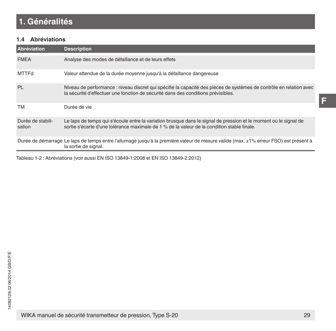# **1. Généralités**

#### **1.4 Abréviations**

| <b>Abréviation</b>          | <b>Description</b>                                                                                                                                                                                              |
|-----------------------------|-----------------------------------------------------------------------------------------------------------------------------------------------------------------------------------------------------------------|
| <b>FMEA</b>                 | Analyse des modes de défaillance et de leurs effets                                                                                                                                                             |
| <b>MTTFd</b>                | Valeur attendue de la durée moyenne jusqu'à la défaillance dangereuse                                                                                                                                           |
| PL                          | Niveau de performance : niveau discret qui spécifie la capacité des pièces de systèmes de contrôle en relation avec<br>la sécurité d'effectuer une fonction de sécurité dans des conditions prévisibles.        |
| TМ                          | Durée de vie                                                                                                                                                                                                    |
| Durée de stabili-<br>sation | Le laps de temps qui s'écoule entre la variation brusque dans le signal de pression et le moment où le signal de<br>sortie s'écarte d'une tolérance maximale de 1 % de la valeur de la condition stable finale. |
|                             | Durée de démarrage Le laps de temps entre l'allumage jusqu'à la première valeur de mesure valide (max. ±1% erreur FSO) est présent à<br>la sortie de signal.                                                    |

Tableau 1-2 : Abréviations (voir aussi EN ISO 13849-1:2008 et EN ISO 13849-2:2012)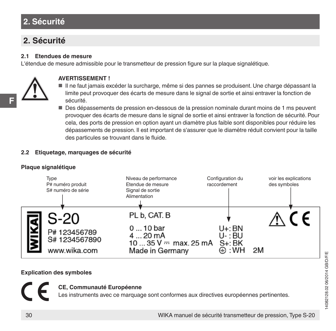### **2. Sécurité**

#### **2.1 Etendues de mesure**

L'étendue de mesure admissible pour le transmetteur de pression figure sur la plaque signalétique.



**F**

#### **AVERTISSEMENT !**

- Il ne faut jamais excéder la surcharge, même si des pannes se produisent. Une charge dépassant la limite peut provoquer des écarts de mesure dans le signal de sortie et ainsi entraver la fonction de sécurité.
- Des dépassements de pression en-dessous de la pression nominale durant moins de 1 ms peuvent provoquer des écarts de mesure dans le signal de sortie et ainsi entraver la fonction de sécurité. Pour cela, des ports de pression en option ayant un diamètre plus faible sont disponibles pour réduire les dépassements de pression. Il est important de s'assurer que le diamètre réduit convient pour la taille des particules se trouvant dans le fluide.

#### **2.2 Etiquetage, marquages de sécurité**

#### **Plaque signalétique**



#### **Explication des symboles**

#### **CE, Communauté Européenne**

Les instruments avec ce marquage sont conformes aux directives européennes pertinentes.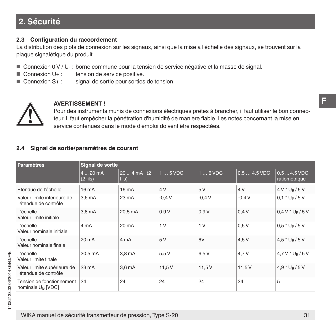#### **2.3 Configuration du raccordement**

La distribution des plots de connexion sur les signaux, ainsi que la mise à l'échelle des signaux, se trouvent sur la plaque signalétique du produit.

- Connexion 0 V / U- : borne commune pour la tension de service négative et la masse de signal.<br>■ Connexion U+ : tension de service positive.
- Connexion U+ : tension de service positive.<br>■ Connexion S+ : signal de sortie pour sorties
- signal de sortie pour sorties de tension.



#### **AVERTISSEMENT !**

Pour des instruments munis de connexions électriques prêtes à brancher, il faut utiliser le bon connecteur. Il faut empêcher la pénétration d'humidité de manière fiable. Les notes concernant la mise en service contenues dans le mode d'emploi doivent être respectées.

#### **2.4 Signal de sortie/paramètres de courant**

| <b>Paramètres</b>                                            | Signal de sortie       |                   |                |                |              |                               |
|--------------------------------------------------------------|------------------------|-------------------|----------------|----------------|--------------|-------------------------------|
|                                                              | 4  20 mA<br>$(2$ fils) | 204mA(2)<br>fils) | $15$ VDC       | $16$ VDC       | $0.54.5$ VDC | $0.54.5$ VDC<br>ratiométrique |
| Etendue de l'échelle                                         | 16 mA                  | 16 mA             | 4V             | 5 V            | 4V           | $4V * U_B / 5V$               |
| Valeur limite inférieure de<br>l'étendue de contrôle         | 3,6 mA                 | 23 mA             | $-0.4V$        | $-0.4V$        | $-0.4V$      | $0.1 * U_R / 5V$              |
| L'échelle<br>Valeur limite initiale                          | 3.8 mA                 | 20.5 mA           | 0,9V           | 0.9V           | 0.4V         | $0.4 V^* U_R / 5 V$           |
| L'échelle<br>Valeur nominale initiale                        | 4 mA                   | $20 \text{ mA}$   | 1 <sub>V</sub> | 1 <sub>V</sub> | 0.5V         | $0.5 * U_R / 5V$              |
| L'échelle<br>Valeur nominale finale                          | 20 mA                  | 4 mA              | 5 V            | 6V             | 4,5V         | $4.5 * U_B / 5 V$             |
| L'échelle<br>Valeur limite finale                            | 20,5 mA                | 3.8 mA            | 5,5V           | 6.5V           | 4,7 V        | $4.7V$ * U <sub>B</sub> /5V   |
| Valeur limite supérieure de<br>l'étendue de contrôle         | $23 \text{ mA}$        | 3.6 mA            | 11,5V          | 11,5V          | 11.5V        | $4.9 * U_R / 5 V$             |
| Tension de fonctionnement  <br>nominale U <sub>B</sub> [VDC] | 24                     | 24                | 24             | 24             | 24           | 5                             |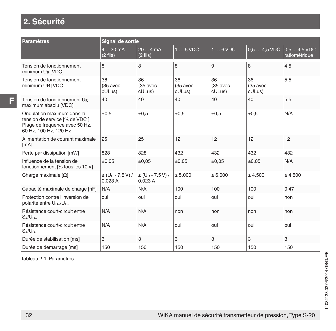| Paramètres                                                                                                             | Signal de sortie                |                                             |                          |                          |                                   |               |
|------------------------------------------------------------------------------------------------------------------------|---------------------------------|---------------------------------------------|--------------------------|--------------------------|-----------------------------------|---------------|
|                                                                                                                        | 420mA<br>$(2$ fils)             | 204mA<br>$(2$ fils)                         | $15$ VDC                 | $16$ VDC                 | $0,54,5$ VDC $\boxed{0,54,5}$ VDC | ratiométrique |
| Tension de fonctionnement<br>minimum $U_B$ [VDC]                                                                       | 8                               | 8                                           | 8                        | 9                        | 8                                 | 4,5           |
| Tension de fonctionnement<br>minimum UB [VDC]                                                                          | 36<br>(35 avec<br>cULus)        | 36<br>(35 avec<br>cULus)                    | 36<br>(35 avec<br>cULus) | 36<br>(35 avec<br>cULus) | 36<br>(35 avec<br>cULus)          | 5.5           |
| Tension de fonctionnement UR<br>maximum absolu [VDC]                                                                   | 40                              | 40                                          | 40                       | 40                       | 40                                | 5.5           |
| Ondulation maximum dans la<br>tension de service [% de VDC]<br>Plage de fréquence avec 50 Hz,<br>60 Hz, 100 Hz, 120 Hz | ±0.5                            | ±0.5                                        | $\pm 0.5$                | ±0.5                     | ±0.5                              | N/A           |
| Alimentation de courant maximale<br>[mA]                                                                               | 25                              | 25                                          | 12                       | 12                       | 12                                | 12            |
| Perte par dissipation [mW]                                                                                             | 828                             | 828                                         | 432                      | 432                      | 432                               | 432           |
| Influence de la tension de<br>fonctionnement [% tous les 10 V]                                                         | ±0,05                           | $\pm 0.05$                                  | ±0,05                    | $\pm 0.05$               | $\pm 0.05$                        | N/A           |
| Charge maximale $[\Omega]$                                                                                             | $\geq (U_B - 7.5 V)/$<br>0.023A | $\geq$ (U <sub>B</sub> - 7,5 V) /<br>0.023A | $\leq 5.000$             | $\leq 6.000$             | $\leq 4.500$                      | $\leq 4.500$  |
| Capacité maximale de charge [nF]                                                                                       | N/A                             | N/A                                         | 100                      | 100                      | 100                               | 0.47          |
| Protection contre l'inversion de<br>polarité entre UB+/UB-                                                             | oui                             | oui                                         | oui                      | oui                      | oui                               | non           |
| Résistance court-circuit entre<br>$S_{\perp}/U_{R+}$                                                                   | N/A                             | N/A                                         | non                      | non                      | non                               | non           |
| Résistance court-circuit entre<br>$S_{\nu}/U_{R}$                                                                      | N/A                             | N/A                                         | oui                      | oui                      | oui                               | oui           |
| Durée de stabilisation [ms]                                                                                            | 3                               | 3                                           | 3                        | 3                        | 3                                 | 3             |
| Durée de démarrage [ms]                                                                                                | 150                             | 150                                         | 150                      | 150                      | 150                               | 150           |

Tableau 2-1: Paramètres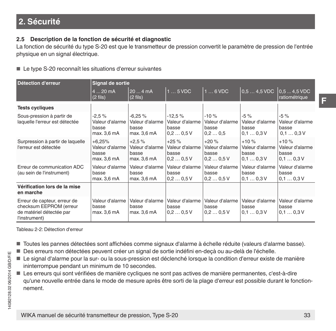#### **2.5 Description de la fonction de sécurité et diagnostic**

La fonction de sécurité du type S-20 est que le transmetteur de pression convertit le paramètre de pression de l'entrée physique en un signal électrique.

#### ■ Le type S-20 reconnaît les situations d'erreur suivantes

| Détection d'erreur                                                                                   | Signal de sortie                                    |                                                     |                                                 |                                               |                                                 |                                               |  |
|------------------------------------------------------------------------------------------------------|-----------------------------------------------------|-----------------------------------------------------|-------------------------------------------------|-----------------------------------------------|-------------------------------------------------|-----------------------------------------------|--|
|                                                                                                      | $420$ mA<br>$(2$ fils)                              | 20  4 mA<br>$(2$ fils)                              | $15$ VDC                                        | 1  6 VDC                                      | $0.54.5$ VDC $\boxed{0.54.5}$ VDC               | ratiométrique                                 |  |
| <b>Tests cycliques</b>                                                                               |                                                     |                                                     |                                                 |                                               |                                                 |                                               |  |
| Sous-pression à partir de<br>laquelle l'erreur est détectée                                          | $-2.5%$<br>Valeur d'alarme<br>basse<br>max. 3,6 mA  | $-6.25%$<br>Valeur d'alarme<br>basse<br>max. 3,6 mA | $-12.5%$<br>Valeur d'alarme<br>basse<br>0.20.5V | $-10%$<br>Valeur d'alarme<br>basse<br>0.20.5  | $-5%$<br>Valeur d'alarme<br>basse<br>0, 10, 3V  | $-5%$<br>Valeur d'alarme<br>basse<br>0,10,3V  |  |
| Surpression à partir de laquelle<br>l'erreur est détectée                                            | $+6.25%$<br>Valeur d'alarme<br>basse<br>max. 3,6 mA | $+2.5%$<br>Valeur d'alarme<br>basse<br>max. 3,6 mA  | $+25%$<br>Valeur d'alarme<br>basse<br>0, 20, 5V | $+20%$<br>Valeur d'alarme<br>basse<br>0.20.5V | $+10%$<br>Valeur d'alarme<br>basse<br>0, 10, 3V | $+10%$<br>Valeur d'alarme<br>basse<br>0,10,3V |  |
| Erreur de communication ADC<br>(au sein de l'instrument)                                             | Valeur d'alarme<br>basse<br>max. 3,6 mA             | Valeur d'alarme<br>basse<br>max. 3,6 mA             | Valeur d'alarme<br>basse<br>0.20.5V             | Valeur d'alarme<br>basse<br>0.20.5V           | Valeur d'alarme<br>basse<br>0, 10, 3V           | Valeur d'alarme<br>basse<br>$0,10,3$ V        |  |
| Vérification lors de la mise<br>en marche                                                            |                                                     |                                                     |                                                 |                                               |                                                 |                                               |  |
| Erreur de capteur, erreur de<br>checksum EEPROM (erreur<br>de matériel détectée par<br>l'instrument) | Valeur d'alarme<br>basse<br>max. 3,6 mA             | Valeur d'alarme<br>basse<br>max. 3.6 mA             | Valeur d'alarme<br>basse<br>0.20.5V             | Valeur d'alarme<br>basse<br>0.20.5V           | Valeur d'alarme<br>basse<br>0, 10, 3V           | Valeur d'alarme<br>basse<br>0,10,3V           |  |

Tableau 2-2: Détection d'erreur

- Toutes les pannes détectées sont affichées comme signaux d'alarme à échelle réduite (valeurs d'alarme basse).
- Des erreurs non détectées peuvent créer un signal de sortie indéfini en-deçà ou au-delà de l'échelle.
- Le signal d'alarme pour la sur- ou la sous-pression est déclenché lorsque la condition d'erreur existe de manière ininterrompue pendant un minimum de 10 secondes.
- Les erreurs qui sont vérifiées de manière cycliques ne sont pas actives de manière permanentes, c'est-à-dire qu'une nouvelle entrée dans le mode de mesure après être sorti de la plage d'erreur est possible durant le fonctionnement.

**F**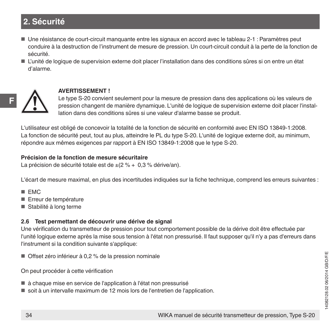- Une résistance de court-circuit manquante entre les signaux en accord avec le tableau 2-1 : Paramètres peut conduire à la destruction de l'instrument de mesure de pression. Un court-circuit conduit à la perte de la fonction de sécurité.
- L'unité de logique de supervision externe doit placer l'installation dans des conditions sûres si on entre un état d'alarme.



#### **AVERTISSEMENT !**

Le type S-20 convient seulement pour la mesure de pression dans des applications où les valeurs de pression changent de manière dynamique. L'unité de logique de supervision externe doit placer l'installation dans des conditions sûres si une valeur d'alarme basse se produit.

L'utilisateur est obligé de concevoir la totalité de la fonction de sécurité en conformité avec EN ISO 13849-1:2008. La fonction de sécurité peut, tout au plus, atteindre le PL du type S-20. L'unité de logique externe doit, au minimum, répondre aux mêmes exigences par rapport à EN ISO 13849-1:2008 que le type S-20.

#### **Précision de la fonction de mesure sécuritaire**

La précision de sécurité totale est de  $\pm$ (2 % + 0.3 % dérive/an).

L'écart de mesure maximal, en plus des incertitudes indiquées sur la fiche technique, comprend les erreurs suivantes :

- EMC
- Erreur de température
- Stabilité à long terme

#### **2.6 Test permettant de découvrir une dérive de signal**

Une vérification du transmetteur de pression pour tout comportement possible de la dérive doit être effectuée par l'unité logique externe après la mise sous tension à l'état non pressurisé. Il faut supposer qu'il n'y a pas d'erreurs dans l'instrument si la condition suivante s'applique:

■ Offset zéro inférieur à 0.2 % de la pression nominale

On peut procéder à cette vérification

- à chaque mise en service de l'application à l'état non pressurisé
- soit à un intervalle maximum de 12 mois lors de l'entretien de l'application.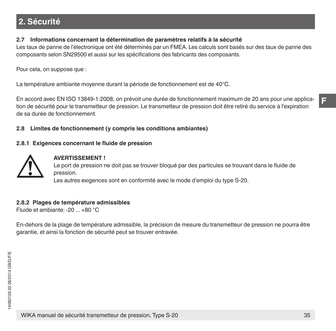#### **2.7 Informations concernant la détermination de paramètres relatifs à la sécurité**

Les taux de panne de l'électronique ont été déterminés par un FMEA. Les calculs sont basés sur des taux de panne des composants selon SN29500 et aussi sur les spécifications des fabricants des composants.

Pour cela, on suppose que :

La température ambiante moyenne durant la période de fonctionnement est de 40°C.

En accord avec EN ISO 13849-1:2008, on prévoit une durée de fonctionnement maximum de 20 ans pour une application de sécurité pour le transmetteur de pression. Le transmetteur de pression doit être retiré du service à l'expiration de sa durée de fonctionnement.

#### **2.8 Limites de fonctionnement (y compris les conditions ambiantes)**

#### **2.8.1 Exigences concernant le fluide de pression**



#### **AVERTISSEMENT !**

Le port de pression ne doit pas se trouver bloqué par des particules se trouvant dans le fluide de pression.

Les autres exigences sont en conformité avec le mode d'emploi du type S-20.

#### **2.8.2 Plages de température admissibles**

Fluide et ambiante: -20 ... +80 °C

En-dehors de la plage de température admissible, la précision de mesure du transmetteur de pression ne pourra être garantie, et ainsi la fonction de sécurité peut se trouver entravée.

**F**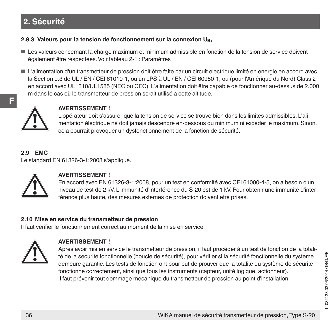#### **2.8.3 Valeurs pour la tension de fonctionnement sur la connexion UB+**

- Les valeurs concernant la charge maximum et minimum admissible en fonction de la tension de service doivent également être respectées. Voir tableau 2-1 : Paramètres
- L'alimentation d'un transmetteur de pression doit être faite par un circuit électrique limité en énergie en accord avec la Section 9.3 de UL / EN / CEI 61010-1, ou un LPS à UL / EN / CEI 60950-1, ou (pour l'Amérique du Nord) Class 2 en accord avec UL1310/UL1585 (NEC ou CEC). L'alimentation doit être capable de fonctionner au-dessus de 2.000 m dans le cas où le transmetteur de pression serait utilisé à cette altitude.



#### **AVERTISSEMENT !**

L'opérateur doit s'assurer que la tension de service se trouve bien dans les limites admissibles. L'alimentation électrique ne doit jamais descendre en-dessous du minimum ni excéder le maximum. Sinon, cela pourrait provoquer un dysfonctionnement de la fonction de sécurité.

#### **2.9 EMC**

Le standard EN 61326-3-1:2008 s'applique.



#### **AVERTISSEMENT !**

En accord avec EN 61326-3-1:2008, pour un test en conformité avec CEI 61000-4-5, on a besoin d'un niveau de test de 2 kV. L'immunité d'interférence du S-20 est de 1 kV. Pour obtenir une immunité d'interférence plus haute, des mesures externes de protection doivent être prises.

#### **2.10 Mise en service du transmetteur de pression**

Il faut vérifier le fonctionnement correct au moment de la mise en service.



#### **AVERTISSEMENT !**

Après avoir mis en service le transmetteur de pression, il faut procéder à un test de fonction de la totalité de la sécurité fonctionnelle (boucle de sécurité), pour vérifier si la sécurité fonctionnelle du système demeure garantie. Les tests de fonction ont pour but de prouver que la totalité du système de sécurité fonctionne correctement, ainsi que tous les instruments (capteur, unité logique, actionneur). Il faut prévenir tout dommage mécanique du transmetteur de pression au point d'installation.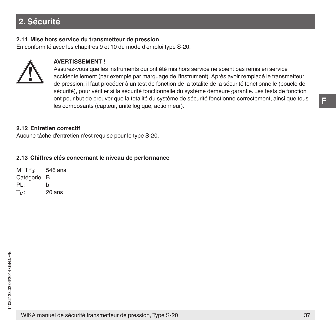#### **2.11 Mise hors service du transmetteur de pression**

En conformité avec les chapitres 9 et 10 du mode d'emploi type S-20.



#### **AVERTISSEMENT !**

Assurez-vous que les instruments qui ont été mis hors service ne soient pas remis en service accidentellement (par exemple par marquage de l'instrument). Après avoir remplacé le transmetteur de pression, il faut procéder à un test de fonction de la totalité de la sécurité fonctionnelle (boucle de sécurité), pour vérifier si la sécurité fonctionnelle du système demeure garantie. Les tests de fonction ont pour but de prouver que la totalité du système de sécurité fonctionne correctement, ainsi que tous les composants (capteur, unité logique, actionneur).

#### **2.12 Entretien correctif**

Aucune tâche d'entretien n'est requise pour le type S-20.

#### **2.13 Chiffres clés concernant le niveau de performance**

 $MTTF_d$ : 546 ans Catégorie: B PL:  $b$ <br>T<sub>M</sub>:  $20$  $20$  ans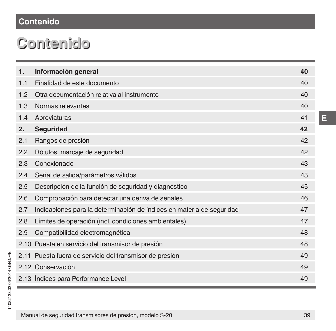# **Contenido**

# **Contenido**

| 1.  | Información general                                                   | 40 |
|-----|-----------------------------------------------------------------------|----|
| 1.1 | Finalidad de este documento                                           | 40 |
| 1.2 | Otra documentación relativa al instrumento                            | 40 |
| 1.3 | Normas relevantes                                                     | 40 |
| 1.4 | Abreviaturas                                                          | 41 |
| 2.  | Seguridad                                                             | 42 |
| 2.1 | Rangos de presión                                                     | 42 |
| 2.2 | Rótulos, marcaje de seguridad                                         | 42 |
| 2.3 | Conexionado                                                           | 43 |
| 2.4 | Señal de salida/parámetros válidos                                    | 43 |
| 2.5 | Descripción de la función de seguridad y diagnóstico                  | 45 |
| 2.6 | Comprobación para detectar una deriva de señales                      | 46 |
| 2.7 | Indicaciones para la determinación de índices en materia de seguridad | 47 |
| 2.8 | Límites de operación (incl. condiciones ambientales)                  | 47 |
| 2.9 | Compatibilidad electromagnética                                       | 48 |
|     | 2.10 Puesta en servicio del transmisor de presión                     | 48 |
|     | 2.11 Puesta fuera de servicio del transmisor de presión               | 49 |
|     | 2.12 Conservación                                                     | 49 |
|     | 2.13 Indices para Performance Level                                   | 49 |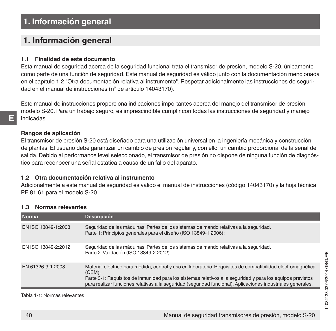### **1. Información general**

### **1. Información general**

#### **1.1 Finalidad de este documento**

Esta manual de seguridad acerca de la seguridad funcional trata el transmisor de presión, modelo S-20, únicamente como parte de una función de seguridad. Este manual de seguridad es válido junto con la documentación mencionada en el capítulo 1.2 "Otra documentación relativa al instrumento". Respetar adicionalmente las instrucciones de seguridad en el manual de instrucciones (nº de artículo 14043170).

Este manual de instrucciones proporciona indicaciones importantes acerca del manejo del transmisor de presión modelo S-20. Para un trabajo seguro, es imprescindible cumplir con todas las instrucciones de seguridad y manejo indicadas.

#### **Rangos de aplicación**

**E**

El transmisor de presión S-20 está diseñado para una utilización universal en la ingeniería mecánica y construcción de plantas. El usuario debe garantizar un cambio de presión regular y, con ello, un cambio proporcional de la señal de salida. Debido al performance level seleccionado, el transmisor de presión no dispone de ninguna función de diagnóstico para reconocer una señal estática a causa de un fallo del aparato.

#### **1.2 Otra documentación relativa al instrumento**

Adicionalmente a este manual de seguridad es válido el manual de instrucciones (código 14043170) y la hoja técnica PE 81.61 para el modelo S-20.

#### **1.3 Normas relevantes**

| <b>Norma</b>        | <b>Descripción</b>                                                                                                                                                                                                                                                                                                                                  |
|---------------------|-----------------------------------------------------------------------------------------------------------------------------------------------------------------------------------------------------------------------------------------------------------------------------------------------------------------------------------------------------|
| EN ISO 13849-1:2008 | Seguridad de las máguinas. Partes de los sistemas de mando relativas a la seguridad.<br>Parte 1: Principios generales para el diseño (ISO 13849-1:2006);                                                                                                                                                                                            |
| EN ISO 13849-2:2012 | Seguridad de las máguinas. Partes de los sistemas de mando relativas a la seguridad.<br>Parte 2: Validación (ISO 13849-2:2012)                                                                                                                                                                                                                      |
| EN 61326-3-1:2008   | Material eléctrico para medida, control y uso en laboratorio. Requisitos de compatibilidad electromagnética<br>(CEM).<br>Parte 3-1: Requisitos de inmunidad para los sistemas relativos a la seguridad y para los equipos previstos<br>para realizar funciones relativas a la seguridad (seguridad funcional). Aplicaciones industriales generales. |

Tabla 1-1: Normas relevantes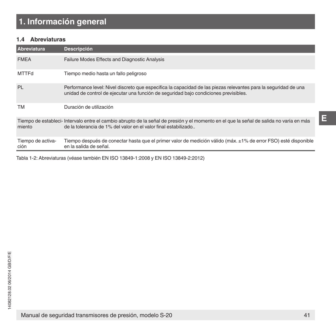## **1. Información general**

#### **1.4 Abreviaturas**

| <b>Abreviatura</b>        | <b>Descripción</b>                                                                                                                                                                                          |
|---------------------------|-------------------------------------------------------------------------------------------------------------------------------------------------------------------------------------------------------------|
| <b>FMEA</b>               | Failure Modes Effects and Diagnostic Analysis                                                                                                                                                               |
| <b>MTTFd</b>              | Tiempo medio hasta un fallo peligroso                                                                                                                                                                       |
| PL                        | Performance level: Nivel discreto que especifica la capacidad de las piezas relevantes para la seguridad de una<br>unidad de control de ejecutar una función de seguridad bajo condiciones previsibles.     |
| TM                        | Duración de utilización                                                                                                                                                                                     |
| miento                    | Tiempo de estableci- Intervalo entre el cambio abrupto de la señal de presión y el momento en el que la señal de salida no varía en más<br>de la tolerancia de 1% del valor en el valor final estabilizado. |
| Tiempo de activa-<br>ción | Tiempo después de conectar hasta que el primer valor de medición válido (máx. ±1% de error FSO) esté disponible<br>en la salida de señal.                                                                   |

Tabla 1-2: Abreviaturas (véase también EN ISO 13849-1:2008 y EN ISO 13849-2:2012)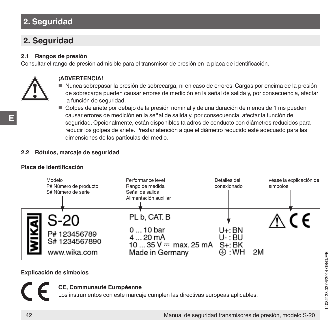### **2. Seguridad**

#### **2.1 Rangos de presión**

Consultar el rango de presión admisible para el transmisor de presión en la placa de identificación.



#### **¡ADVERTENCIA!**

- Nunca sobrepasar la presión de sobrecarga, ni en caso de errores. Cargas por encima de la presión de sobrecarga pueden causar errores de medición en la señal de salida y, por consecuencia, afectar la función de seguridad.
- Golpes de ariete por debajo de la presión nominal y de una duración de menos de 1 ms pueden causar errores de medición en la señal de salida y, por consecuencia, afectar la función de seguridad. Opcionalmente, están disponibles taladros de conducto con diámetros reducidos para reducir los golpes de ariete. Prestar atención a que el diámetro reducido esté adecuado para las dimensiones de las partículas del medio.

#### **2.2 Rótulos, marcaje de seguridad**

#### **Placa de identificación**



#### **Explicación de símbolos**

#### **CE, Communauté Européenne**

Los instrumentos con este marcaje cumplen las directivas europeas aplicables.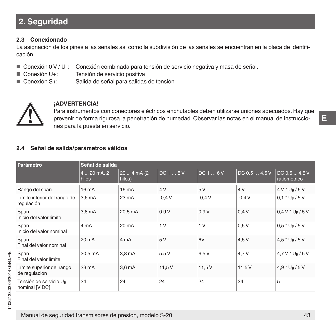#### **2.3 Conexionado**

La asignación de los pines a las señales así como la subdivisión de las señales se encuentran en la placa de identificación.

- Conexión 0 V / U-: Conexión combinada para tensión de servicio negativa y masa de señal.<br>■ Conexión U+: Tensión de servicio positiva
- Conexión U+: Tensión de servicio positiva<br>■ Conexión S+: Salida de señal para salidas
- Salida de señal para salidas de tensión



#### **¡ADVERTENCIA!**

Para instrumentos con conectores eléctricos enchufables deben utilizarse uniones adecuados. Hay que prevenir de forma rigurosa la penetración de humedad. Observar las notas en el manual de instrucciones para la puesta en servicio.

#### **2.4 Señal de salida/parámetros válidos**

| Parámetro                                  | Señal de salida      |                    |                |                |               |                               |
|--------------------------------------------|----------------------|--------------------|----------------|----------------|---------------|-------------------------------|
|                                            | 4  20 mA, 2<br>hilos | 204mA(2)<br>hilos) | DC 1  5 V      | DC 1  6 V      | DC 0.5  4.5 V | DC 0.5  4.5 V<br>ratiométrico |
| Rango del span                             | 16 mA                | 16 mA              | 4 V            | 5 V            | 4V            | $4V * U_B / 5V$               |
| Límite inferior del rango de<br>regulación | 3.6 mA               | 23 mA              | $-0.4V$        | $-0.4V$        | $-0.4V$       | $0.1 * U_B / 5 V$             |
| Span<br>Inicio del valor límite            | 3,8 mA               | 20,5 mA            | 0,9V           | 0.9V           | 0.4V          | $0.4 V * U_B / 5 V$           |
| Span<br>Inicio del valor nominal           | 4 mA                 | $20 \text{ mA}$    | 1 <sub>V</sub> | 1 <sub>V</sub> | 0.5V          | $0.5 * U_R / 5V$              |
| Span<br>Final del valor nominal            | 20 mA                | 4 mA               | 5 V            | 6V             | 4,5V          | $4.5 * U_B / 5 V$             |
| Span<br>Final del valor límite             | 20,5 mA              | 3.8 mA             | 5,5V           | 6.5V           | 4.7 V         | $4.7V$ * U <sub>B</sub> /5V   |
| Límite superior del rango<br>de regulación | 23 mA                | 3,6 mA             | 11,5V          | 11,5V          | 11,5V         | $4.9 * U_R / 5 V$             |
| Tensión de servicio UR<br>nominal [V DC]   | 24                   | 24                 | 24             | 24             | 24            | 5                             |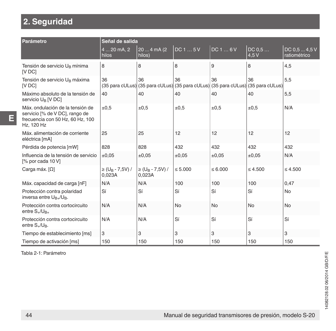| Parámetro                                                                                                            | Señal de salida                  |                                      |              |                                                                                       |                |                                 |  |  |
|----------------------------------------------------------------------------------------------------------------------|----------------------------------|--------------------------------------|--------------|---------------------------------------------------------------------------------------|----------------|---------------------------------|--|--|
|                                                                                                                      | 4  20 mA, 2<br>hilos             | 20  4 mA (2)<br>hilos)               | DC 1  5 V    | DC 1  6 V                                                                             | DC 0.5<br>4.5V | $DC$ 0.5  4.5 V<br>ratiométrico |  |  |
| Tensión de servicio UB mínima<br><b>IV DCI</b>                                                                       | 8                                | 8                                    | 8            | 9                                                                                     | 8              | 4,5                             |  |  |
| Tensión de servicio UB máxima<br>[V DC]                                                                              | 36                               | 36                                   | 36           | 36<br>(35 para cULus) (35 para cULus) (35 para cULus) (35 para cULus) (35 para cULus) | 36             | 5.5                             |  |  |
| Máximo absoluto de la tensión de<br>servicio U <sub>B</sub> [V DC]                                                   | 40                               | 40                                   | 40           | 40                                                                                    | 40             | 5,5                             |  |  |
| Máx, ondulación de la tensión de<br>servicio [% de V DC], rango de<br>frecuencia con 50 Hz, 60 Hz, 100<br>Hz, 120 Hz | ±0,5                             | ±0.5                                 | $\pm 0.5$    | $\pm 0.5$                                                                             | ±0,5           | N/A                             |  |  |
| Máx, alimentación de corriente<br>eléctrica [mA]                                                                     | 25                               | 25                                   | 12           | 12                                                                                    | 12             | 12                              |  |  |
| Pérdida de potencia [mW]                                                                                             | 828                              | 828                                  | 432          | 432                                                                                   | 432            | 432                             |  |  |
| Influencia de la tensión de servicio<br>[% por cada 10 V]                                                            | ±0.05                            | $\pm 0.05$                           | $\pm 0.05$   | $\pm 0.05$                                                                            | $\pm 0.05$     | N/A                             |  |  |
| Carga máx. [Ω]                                                                                                       | $\geq (U_{B} - 7.5V)/$<br>0.023A | $\geq (U_{\rm B} - 7.5V)/$<br>0.023A | $\leq 5.000$ | $\leq 6.000$                                                                          | < 4.500        | < 4.500                         |  |  |
| Máx. capacidad de carga [nF]                                                                                         | N/A                              | N/A                                  | 100          | 100                                                                                   | 100            | 0.47                            |  |  |
| Protección contra polaridad<br>inversa entre UB+/UB-                                                                 | Sí                               | Sí                                   | Sí           | Sí                                                                                    | Sí             | No                              |  |  |
| Protección contra cortocircuito<br>entre $S_{+}/U_{B_{+}}$                                                           | N/A                              | N/A                                  | <b>No</b>    | No                                                                                    | <b>No</b>      | <b>No</b>                       |  |  |
| Protección contra cortocircuito<br>entre $S_{+}/U_{B-}$                                                              | N/A                              | N/A                                  | Sí           | Sí                                                                                    | Sí             | Sí                              |  |  |
| Tiempo de establecimiento [ms]                                                                                       | 3                                | 3                                    | 3            | 3                                                                                     | 3              | 3                               |  |  |
| Tiempo de activación [ms]                                                                                            | 150                              | 150                                  | 150          | 150                                                                                   | 150            | 150                             |  |  |

Tabla 2-1: Parámetro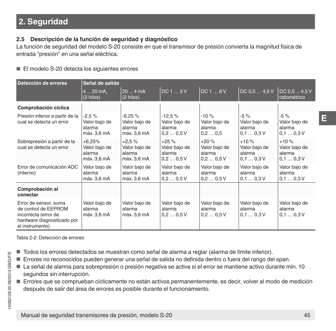#### **2.5 Descripción de la función de seguridad y diagnóstico**

La función de seguridad del modelo S-20 consiste en que el transmisor de presión convierta la magnitud física de entrada "presión" en una señal eléctrica.

#### ■ El modelo S-20 detecta los siguientes errores

| Detección de errores                                                                                                   | Señal de salida                                    |                                                    |                                                |                                              |                                                 |                                                 |  |  |  |
|------------------------------------------------------------------------------------------------------------------------|----------------------------------------------------|----------------------------------------------------|------------------------------------------------|----------------------------------------------|-------------------------------------------------|-------------------------------------------------|--|--|--|
|                                                                                                                        | $420$ mA,<br>(2 hilos)                             | 204mA<br>(2 hilos)                                 | DC 1 5V                                        | DC16V                                        | DC 0.5  4.5 V                                   | DC 0.5  4.5 V<br>ratiométrico                   |  |  |  |
| Comprobación cíclica                                                                                                   |                                                    |                                                    |                                                |                                              |                                                 |                                                 |  |  |  |
| Presión inferior a partir de la<br>cual se detecta un error                                                            | $-2.5%$<br>Valor bajo de<br>alarma<br>máx. 3,6 mA  | $-6,25%$<br>Valor bajo de<br>alarma<br>máx. 3,6 mA | $-12.5%$<br>Valor bajo de<br>alarma<br>0.20.5V | $-10%$<br>Valor bajo de<br>alarma<br>0.20.5  | $-5%$<br>Valor bajo de<br>alarma<br>0, 1 0, 3V  | $-5%$<br>Valor bajo de<br>alarma<br>0, 10, 3V   |  |  |  |
| Sobrepresión a partir de la<br>cual se detecta un error                                                                | $+6,25%$<br>Valor bajo de<br>alarma<br>máx. 3,6 mA | $+2.5%$<br>Valor bajo de<br>alarma<br>máx. 3,6 mA  | $+25%$<br>Valor bajo de<br>alarma<br>0.20.5V   | $+20%$<br>Valor bajo de<br>alarma<br>0.20.5V | $+10%$<br>Valor bajo de<br>alarma<br>0, 1 0, 3V | $+10%$<br>Valor bajo de<br>alarma<br>0, 1 0, 3V |  |  |  |
| Error de comunicación ADC<br>(interno)                                                                                 | Valor bajo de<br>alarma<br>máx. 3,6 mA             | Valor bajo de<br>alarma<br>máx. 3,6 mA             | Valor bajo de<br>alarma<br>0.20.5V             | Valor bajo de<br>alarma<br>0,20,5V           | Valor bajo de<br>alarma<br>0, 10, 3V            | Valor bajo de<br>alarma<br>0, 10, 3V            |  |  |  |
| Comprobación al<br>conectar                                                                                            |                                                    |                                                    |                                                |                                              |                                                 |                                                 |  |  |  |
| Error de sensor, suma<br>de control de EEPROM<br>incorrecta (error de<br>hardware diagnosticado por<br>el instrumento) | Valor bajo de<br>alarma<br>máx. 3,6 mA             | Valor bajo de<br>alarma<br>máx. 3,6 mA             | Valor bajo de<br>alarma<br>0.20.5V             | Valor bajo de<br>alarma<br>0.20.5V           | Valor bajo de<br>alarma<br>0,10,3V              | Valor bajo de<br>alarma<br>0, 1 0, 3V           |  |  |  |

Tabla 2-2: Detección de errores

- Todos los errores detectados se muestran como señal de alarma a reglar (alarma de límite inferior).
- Errores no reconocidos pueden generar una señal de salida no definida dentro o fuera del rango del span.
- La señal de alarma para sobrepresión o presión negativa se activa si el error se mantiene activo durante mín. 10 segundos sin interrupción.
- Errores que se comprueban cíclicamente no están activos permanentemente, es decir, volver al modo de medición después de salir del área de errores es posible durante el funcionamiento.

**E**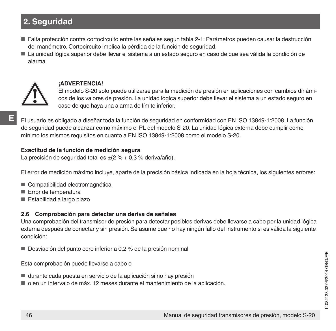- Falta protección contra cortocircuito entre las señales según tabla 2-1: Parámetros pueden causar la destrucción del manómetro. Cortocircuito implica la pérdida de la función de seguridad.
- La unidad lógica superior debe llevar el sistema a un estado seguro en caso de que sea válida la condición de alarma.



**E**

#### **¡ADVERTENCIA!**

El modelo S-20 solo puede utilizarse para la medición de presión en aplicaciones con cambios dinámicos de los valores de presión. La unidad lógica superior debe llevar el sistema a un estado seguro en caso de que haya una alarma de límite inferior.

El usuario es obligado a diseñar toda la función de seguridad en conformidad con EN ISO 13849-1:2008. La función de seguridad puede alcanzar como máximo el PL del modelo S-20. La unidad lógica externa debe cumplir como mínimo los mismos requisitos en cuanto a EN ISO 13849-1:2008 como el modelo S-20.

#### **Exactitud de la función de medición segura**

La precisión de seguridad total es  $\pm$ (2 % + 0.3 % deriva/año).

El error de medición máximo incluye, aparte de la precisión básica indicada en la hoja técnica, los siguientes errores:

- Compatibilidad electromagnética
- Error de temperatura
- Estabilidad a largo plazo

#### **2.6 Comprobación para detectar una deriva de señales**

Una comprobación del transmisor de presión para detectar posibles derivas debe llevarse a cabo por la unidad lógica externa después de conectar y sin presión. Se asume que no hay ningún fallo del instrumento si es válida la siguiente condición:

■ Desviación del punto cero inferior a 0,2 % de la presión nominal

Esta comprobación puede llevarse a cabo o

- durante cada puesta en servicio de la aplicación si no hay presión
- o en un intervalo de máx. 12 meses durante el mantenimiento de la aplicación.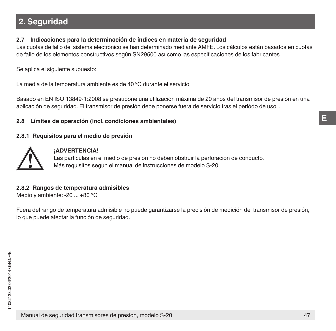#### **2.7 Indicaciones para la determinación de índices en materia de seguridad**

Las cuotas de fallo del sistema electrónico se han determinado mediante AMFE. Los cálculos están basados en cuotas de fallo de los elementos constructivos según SN29500 así como las especificaciones de los fabricantes.

Se aplica el siguiente supuesto:

La media de la temperatura ambiente es de 40 ºC durante el servicio

Basado en EN ISO 13849-1:2008 se presupone una utilización máxima de 20 años del transmisor de presión en una aplicación de seguridad. El transmisor de presión debe ponerse fuera de servicio tras el periódo de uso. .

#### **2.8 Límites de operación (incl. condiciones ambientales)**

#### **2.8.1 Requisitos para el medio de presión**



#### **¡ADVERTENCIA!**

Las partículas en el medio de presión no deben obstruir la perforación de conducto. Más requisitos según el manual de instrucciones de modelo S-20

#### **2.8.2 Rangos de temperatura admisibles**

Medio y ambiente: -20 ... +80 °C

Fuera del rango de temperatura admisible no puede garantizarse la precisión de medición del transmisor de presión, lo que puede afectar la función de seguridad.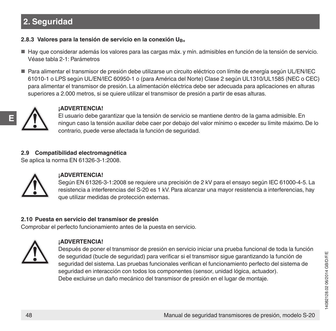#### **2.8.3 Valores para la tensión de servicio en la conexión UB+**

- Hay que considerar además los valores para las cargas máx. y mín. admisibles en función de la tensión de servicio. Véase tabla 2-1: Parámetros
- Para alimentar el transmisor de presión debe utilizarse un circuito eléctrico con límite de energía según UL/EN/IEC 61010-1 o LPS según UL/EN/IEC 60950-1 o (para América del Norte) Clase 2 según UL1310/UL1585 (NEC o CEC) para alimentar el transmisor de presión. La alimentación eléctrica debe ser adecuada para aplicaciones en alturas superiores a 2.000 metros, si se quiere utilizar el transmisor de presión a partir de esas alturas.



#### **¡ADVERTENCIA!**

El usuario debe garantizar que la tensión de servicio se mantiene dentro de la gama admisible. En ningun caso la tensión auxiliar debe caer por debajo del valor mínimo o exceder su límite máximo. De lo contrario, puede verse afectada la función de seguridad.

#### **2.9 Compatibilidad electromagnética**

Se aplica la norma EN 61326-3-1:2008.



#### **¡ADVERTENCIA!**

Según EN 61326-3-1:2008 se requiere una precisión de 2 kV para el ensayo según IEC 61000-4-5. La resistencia a interferencias del S-20 es 1 kV. Para alcanzar una mayor resistencia a interferencias, hay que utilizar medidas de protección externas.

#### **2.10 Puesta en servicio del transmisor de presión**

Comprobar el perfecto funcionamiento antes de la puesta en servicio.



#### **¡ADVERTENCIA!**

Después de poner el transmisor de presión en servicio iniciar una prueba funcional de toda la función de seguridad (bucle de seguridad) para verificar si el transmisor sigue garantizando la función de seguridad del sistema. Las pruebas funcionales verifican el funcionamiento perfecto del sistema de seguridad en interacción con todos los componentes (sensor, unidad lógica, actuador). Debe excluirse un daño mecánico del transmisor de presión en el lugar de montaje.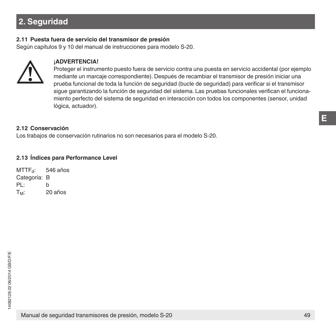#### **2.11 Puesta fuera de servicio del transmisor de presión**

Según capítulos 9 y 10 del manual de instrucciones para modelo S-20.



#### **¡ADVERTENCIA!**

Proteger el instrumento puesto fuera de servicio contra una puesta en servicio accidental (por ejemplo mediante un marcaje correspondiente). Después de recambiar el transmisor de presión iniciar una prueba funcional de toda la función de seguridad (bucle de seguridad) para verificar si el transmisor sigue garantizando la función de seguridad del sistema. Las pruebas funcionales verifican el funcionamiento perfecto del sistema de seguridad en interacción con todos los componentes (sensor, unidad lógica, actuador).

#### **2.12 Conservación**

Los trabajos de conservación rutinarios no son necesarios para el modelo S-20.

#### **2.13 Índices para Performance Level**

MTTF<sub>d</sub>: 546 años Categoría: B PL:  $b$ <br>T<sub>M</sub>:  $20$ 20 años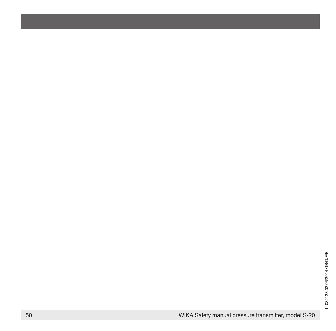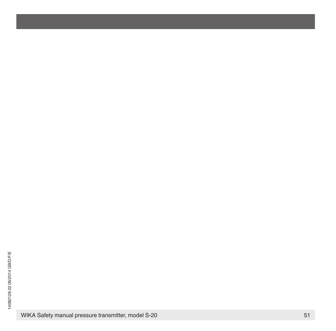WIKA Safety manual pressure transmitter, model S-20